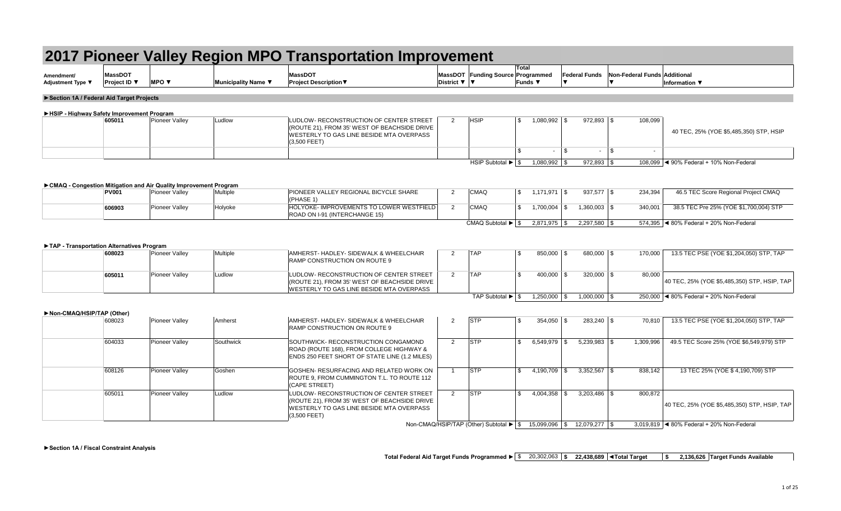| Amendment/                                | <b>MassDOT</b> |                                                                                      |                     | <b>MassDOT</b>                                                                                                                                        |                | MassDOT Funding Source Programmed                                                                 | <b>Total</b>                    | <b>Federal Funds</b> | Non-Federal Funds Additional |                                              |
|-------------------------------------------|----------------|--------------------------------------------------------------------------------------|---------------------|-------------------------------------------------------------------------------------------------------------------------------------------------------|----------------|---------------------------------------------------------------------------------------------------|---------------------------------|----------------------|------------------------------|----------------------------------------------|
| Adjustment Type ▼                         | Project ID ▼   | <b>MPO</b> $\blacktriangledown$                                                      | Municipality Name ▼ | <b>Project Description ▼</b>                                                                                                                          | District ▼ ▼   |                                                                                                   | <b>Funds ▼</b>                  |                      |                              | <b>Information</b> ▼                         |
| Section 1A / Federal Aid Target Projects  |                |                                                                                      |                     |                                                                                                                                                       |                |                                                                                                   |                                 |                      |                              |                                              |
| HSIP - Highway Safety Improvement Program |                |                                                                                      |                     |                                                                                                                                                       |                |                                                                                                   |                                 |                      |                              |                                              |
|                                           | 605011         | <b>Pioneer Valley</b>                                                                | Ludlow              | LUDLOW- RECONSTRUCTION OF CENTER STREET<br>(ROUTE 21), FROM 35' WEST OF BEACHSIDE DRIVE<br>WESTERLY TO GAS LINE BESIDE MTA OVERPASS<br>(3,500 FEET)   | 2              | <b>HSIP</b>                                                                                       | \$<br>1,080,992 \$              | 972,893 \$           | 108,099                      | 40 TEC, 25% (YOE \$5,485,350) STP, HSIP      |
|                                           |                |                                                                                      |                     |                                                                                                                                                       |                |                                                                                                   | $\mathbf{s}$<br>$\sim$          | $\mathbf{s}$<br>÷.   | <b>S</b><br>$\sim$           |                                              |
|                                           |                |                                                                                      |                     |                                                                                                                                                       |                | HSIP Subtotal $\blacktriangleright$ $\mid$ \$                                                     | 1,080,992 \$                    | 972,893 \$           |                              | 108,099 < 90% Federal + 10% Non-Federal      |
|                                           |                |                                                                                      |                     |                                                                                                                                                       |                |                                                                                                   |                                 |                      |                              |                                              |
|                                           | <b>PV001</b>   | ► CMAQ - Congestion Mitigation and Air Quality Improvement Program<br>Pioneer Valley | <b>Multiple</b>     | PIONEER VALLEY REGIONAL BICYCLE SHARE                                                                                                                 | 2              | CMAQ                                                                                              | $\mathfrak s$<br>$1,171,971$ \$ | $937,577$ \$         | 234,394                      | 46.5 TEC Score Regional Project CMAQ         |
|                                           |                |                                                                                      |                     | (PHASE 1)                                                                                                                                             |                |                                                                                                   |                                 |                      |                              |                                              |
|                                           | 606903         | Pioneer Valley                                                                       | Holyoke             | HOLYOKE- IMPROVEMENTS TO LOWER WESTFIELD<br>ROAD ON I-91 (INTERCHANGE 15)                                                                             | $\overline{2}$ | CMAQ                                                                                              | \$<br>$1,700,004$ \$            | $1,360,003$ \$       | 340,001                      | 38.5 TEC Pre 25% (YOE \$1,700,004) STP       |
|                                           |                |                                                                                      |                     |                                                                                                                                                       |                | CMAQ Subtotal $\blacktriangleright$ $\mid$ \$                                                     | $2,871,975$ \$                  | $2.297.580$ \$       |                              | 574.395 < 80% Federal + 20% Non-Federal      |
|                                           |                |                                                                                      |                     |                                                                                                                                                       |                |                                                                                                   |                                 |                      |                              |                                              |
| TAP - Transportation Alternatives Program |                |                                                                                      |                     |                                                                                                                                                       |                |                                                                                                   |                                 |                      |                              |                                              |
|                                           | 608023         | Pioneer Valley                                                                       | <b>Multiple</b>     | AMHERST-HADLEY-SIDEWALK & WHEELCHAIR<br><b>RAMP CONSTRUCTION ON ROUTE 9</b>                                                                           | 2              | <b>TAP</b>                                                                                        | 850,000 \$<br>-\$               | 680,000 \$           | 170,000                      | 13.5 TEC PSE (YOE \$1,204,050) STP, TAP      |
|                                           | 605011         | Pioneer Valley                                                                       | Ludlow              | LUDLOW- RECONSTRUCTION OF CENTER STREET<br>(ROUTE 21), FROM 35' WEST OF BEACHSIDE DRIVE<br>WESTERLY TO GAS LINE BESIDE MTA OVERPASS                   | 2              | <b>TAP</b>                                                                                        | $\mathbf{s}$<br>400,000 \$      | $320,000$ \$         | 80,000                       | 40 TEC, 25% (YOE \$5,485,350) STP, HSIP, TAP |
|                                           |                |                                                                                      |                     |                                                                                                                                                       |                | TAP Subtotal $\blacktriangleright$ $\mid$ \$                                                      | $1,250,000$ \$                  | $1,000,000$ \$       |                              | 250,000 4 80% Federal + 20% Non-Federal      |
|                                           |                |                                                                                      |                     |                                                                                                                                                       |                |                                                                                                   |                                 |                      |                              |                                              |
| Non-CMAQ/HSIP/TAP (Other)                 | 608023         | <b>Pioneer Valley</b>                                                                | Amherst             | AMHERST- HADLEY- SIDEWALK & WHEELCHAIR<br>RAMP CONSTRUCTION ON ROUTE 9                                                                                | 2              | <b>STP</b>                                                                                        | $354,050$ \$<br><b>S</b>        | 283,240 \$           | 70,810                       | 13.5 TEC PSE (YOE \$1,204,050) STP, TAP      |
|                                           | 604033         | <b>Pioneer Valley</b>                                                                | Southwick           | SOUTHWICK- RECONSTRUCTION CONGAMOND<br>ROAD (ROUTE 168), FROM COLLEGE HIGHWAY &<br>ENDS 250 FEET SHORT OF STATE LINE (1.2 MILES)                      | $\overline{2}$ | <b>STP</b>                                                                                        | \$<br>6,549,979 \$              | $5,239,983$ \$       | 1,309,996                    | 49.5 TEC Score 25% (YOE \$6,549,979) STP     |
|                                           | 608126         | <b>Pioneer Valley</b>                                                                | Goshen              | GOSHEN- RESURFACING AND RELATED WORK ON<br>ROUTE 9, FROM CUMMINGTON T.L. TO ROUTE 112<br>(CAPE STREET)                                                | $\mathbf{1}$   | <b>STP</b>                                                                                        | \$<br>4,190,709 \$              | $3,352,567$ \$       | 838,142                      | 13 TEC 25% (YOE \$4,190,709) STP             |
|                                           | 605011         | <b>Pioneer Valley</b>                                                                | Ludlow              | LUDLOW- RECONSTRUCTION OF CENTER STREET<br>(ROUTE 21), FROM 35' WEST OF BEACHSIDE DRIVE<br>WESTERLY TO GAS LINE BESIDE MTA OVERPASS<br>$(3,500$ FEET) | 2              | <b>STP</b>                                                                                        | $4,004,358$ \\$<br>\$           | $3,203,486$ \$       | 800,872                      | 40 TEC, 25% (YOE \$5,485,350) STP, HSIP, TAP |
|                                           |                |                                                                                      |                     |                                                                                                                                                       |                | Non-CMAQ/HSIP/TAP (Other) Subtotal $\blacktriangleright$ \ \$ 15,099,096 \ \ \$ 12,079,277 \ \ \$ |                                 |                      |                              | 3.019.819   ◀ 80% Federal + 20% Non-Federal  |

Total Federal Aid Target Funds Programmed ▶│\$ 20,302,063 │\$ 22,438,689 │◀Total Target │\$ 2,136,626 │Target Funds Available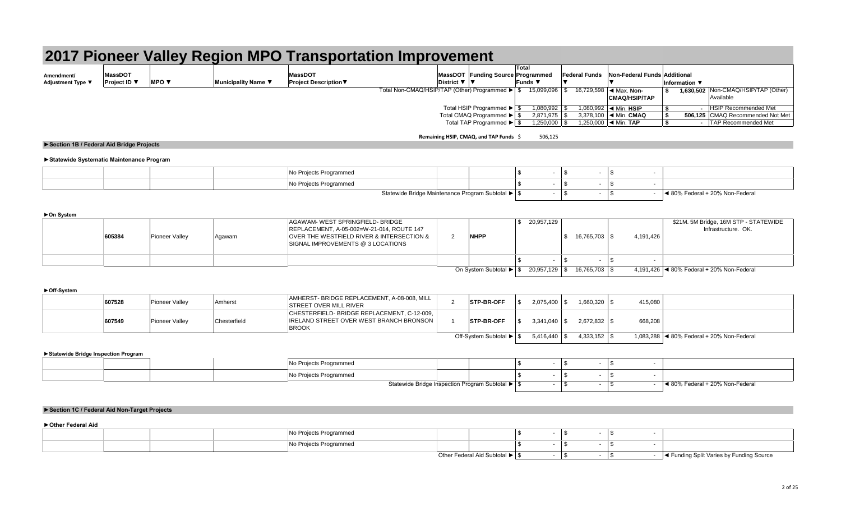|                                        |                |              |                     |                              | 2017 Pioneer Valley Region MPO Transportation Improvement         |                 |                      |                                          |                                  |                                     |
|----------------------------------------|----------------|--------------|---------------------|------------------------------|-------------------------------------------------------------------|-----------------|----------------------|------------------------------------------|----------------------------------|-------------------------------------|
|                                        | <b>MassDOT</b> |              |                     | <b>MassDOT</b>               |                                                                   | lTotal          |                      | Non-Federal Funds Additional             |                                  |                                     |
| Amendment/<br><b>Adjustment Type \</b> | Project ID ▼   | <b>MPO ▼</b> | Municipality Name ▼ | <b>Project Description ▼</b> | MassDOT Funding Source Programmed<br>District $\nabla$   $\nabla$ | <b> Funds ▼</b> | <b>Federal Funds</b> |                                          | Information $\blacktriangledown$ |                                     |
|                                        |                |              |                     |                              | Total Non-CMAQ/HSIP/TAP (Other) Programmed ▶ S                    | 15,099,096 \$   |                      | 16,729,598   ◀ Max. Non-                 |                                  | 1,630,502 Non-CMAQ/HSIP/TAP (Other) |
|                                        |                |              |                     |                              |                                                                   |                 |                      | <b>CMAQ/HSIP/TAP</b>                     |                                  | Available                           |
|                                        |                |              |                     |                              | Total HSIP Programmed ▶ S                                         | 1,080,992       |                      | 1,080,992  ◀ Min. HSIP                   |                                  | <b>HSIP Recommended Met</b>         |
|                                        |                |              |                     |                              | Total CMAQ Programmed ▶ S                                         | 2,871,975       |                      | 3.378.100 $\blacktriangleleft$ Min. CMAQ |                                  | 506,125 CMAQ Recommended Not Met    |
|                                        |                |              |                     |                              | Total TAP Programmed ▶ S                                          |                 |                      | 1,250,000  ◀ Min. TAP                    |                                  | <b>TAP Recommended Met</b>          |

#### **Remaining HSIP, CMAQ, and TAP Funds**  $\,$  \$ 506,125

## **►Section 1B / Federal Aid Bridge Projects**

### **►Statewide Systematic Maintenance Program**

|  |  | No Projects Programmed |                                                   |  |                                                    |
|--|--|------------------------|---------------------------------------------------|--|----------------------------------------------------|
|  |  | No Projects Programmed |                                                   |  |                                                    |
|  |  |                        | Statewide Bridge Maintenance Program Subtotal ▶ S |  | $\blacktriangleleft$ 80% Federal + 20% Non-Federal |

#### **►On System**

| r vn vyvwm | 605384 | <b>Pioneer Valley</b> | Aqawam | AGAWAM-WEST SPRINGFIELD- BRIDGE<br>REPLACEMENT, A-05-002=W-21-014, ROUTE 147<br>OVER THE WESTFIELD RIVER & INTERSECTION &<br>SIGNAL IMPROVEMENTS @ 3 LOCATIONS | <b>NHPF</b>            | 20,957,129                  | 16,765,703 \$ | 4,191,426 | \$21M. 5M Bridge, 16M STP - STATEWIDE<br>Infrastructure, OK. |
|------------|--------|-----------------------|--------|----------------------------------------------------------------------------------------------------------------------------------------------------------------|------------------------|-----------------------------|---------------|-----------|--------------------------------------------------------------|
|            |        |                       |        |                                                                                                                                                                |                        |                             |               |           |                                                              |
|            |        |                       |        |                                                                                                                                                                | On System Subtotal ▶ S | $\frac{1}{2}$ 20,957,129 \$ | 16,765,703 \$ |           | 4,191,426 $\blacktriangleleft$ 80% Federal + 20% Non-Federal |

#### **►Off-System**

| 607528 | <b>Pioneer Valley</b> | Amherst      | AMHERST- BRIDGE REPLACEMENT, A-08-008, MILL<br><b>STREET OVER MILL RIVER</b>                                  | <b>STP-BR-OFF</b>     | 2.075.400 | 1.660.320 \\$  | 415.080 |                                             |
|--------|-----------------------|--------------|---------------------------------------------------------------------------------------------------------------|-----------------------|-----------|----------------|---------|---------------------------------------------|
| 607549 | <b>Pioneer Valley</b> | Chesterfield | CHESTERFIELD- BRIDGE REPLACEMENT, C-12-009,<br><b>IRELAND STREET OVER WEST BRANCH BRONSON</b><br><b>BROOK</b> | <b>STP-BR-OFF</b>     | 3.341.040 | $2,672,832$ \$ | 668,208 |                                             |
|        |                       |              |                                                                                                               | Off-System Subtotal ▶ | 5,416,440 | 4,333,152 \$   |         | 1.083.288   ◀ 80% Federal + 20% Non-Federal |

#### **►Statewide Bridge Inspection Program**

|  |  | No Projects Programmed                            |  |  |                                                    |
|--|--|---------------------------------------------------|--|--|----------------------------------------------------|
|  |  | No Projects Programmed                            |  |  |                                                    |
|  |  | Statewide Bridge Inspection Program Subtotal ▶ \$ |  |  | $\blacktriangleleft$ 80% Federal + 20% Non-Federal |

#### **►Section 1C / Federal Aid Non-Target Projects**

#### **►Other Federal Aid**

|  |  | cts Programmed<br>.<br>$\sim$ $\sim$ |                          |  |  |                                               |
|--|--|--------------------------------------|--------------------------|--|--|-----------------------------------------------|
|  |  | No Projects Programmeo               |                          |  |  |                                               |
|  |  |                                      | - I letotdu2 bi∆ letebe∃ |  |  | g Split Varies by Funding Source_<br>1. U. U. |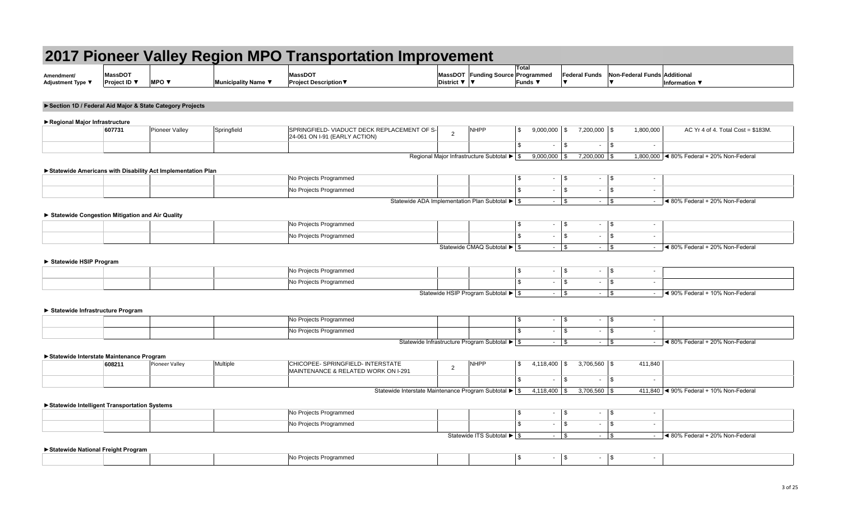|                                                 |                                |                                                             |                     |                                                                              |                |                                                                        | <b>Total</b>     |                                                  |                                     |                                             |
|-------------------------------------------------|--------------------------------|-------------------------------------------------------------|---------------------|------------------------------------------------------------------------------|----------------|------------------------------------------------------------------------|------------------|--------------------------------------------------|-------------------------------------|---------------------------------------------|
| Amendment/<br>Adjustment Type ▼                 | <b>MassDOT</b><br>Project ID ▼ | <b>MPO</b> $\blacktriangledown$                             | Municipality Name ▼ | <b>MassDOT</b><br><b>Project Description ▼</b>                               | District ▼ ▼   | MassDOT Funding Source Programmed                                      | Funds ▼          | <b>Federal Funds</b><br>$\overline{\phantom{a}}$ | Non-Federal Funds Additional        | Information ▼                               |
|                                                 |                                |                                                             |                     |                                                                              |                |                                                                        |                  |                                                  |                                     |                                             |
|                                                 |                                | Section 1D / Federal Aid Major & State Category Projects    |                     |                                                                              |                |                                                                        |                  |                                                  |                                     |                                             |
| Regional Major Infrastructure                   |                                |                                                             |                     |                                                                              |                |                                                                        |                  |                                                  |                                     |                                             |
|                                                 | 607731                         | <b>Pioneer Valley</b>                                       | Springfield         | SPRINGFIELD- VIADUCT DECK REPLACEMENT OF S-<br>24-061 ON I-91 (EARLY ACTION) | $\overline{2}$ | <b>NHPP</b><br>\$                                                      | 9,000,000        | $7,200,000$ \$<br>l \$                           | 1,800,000                           | AC Yr 4 of 4. Total Cost = \$183M.          |
|                                                 |                                |                                                             |                     |                                                                              |                | \$                                                                     | $\blacksquare$   | $\sqrt{S}$<br>$\blacksquare$                     | $\sqrt{S}$<br>$\blacksquare$        |                                             |
|                                                 |                                |                                                             |                     |                                                                              |                | Regional Major Infrastructure Subtotal $\blacktriangleright$ $\mid$ \$ | $9,000,000$ \$   | 7,200,000 \$                                     |                                     | 1,800,000   ◀ 80% Federal + 20% Non-Federal |
|                                                 |                                | Statewide Americans with Disability Act Implementation Plan |                     | No Projects Programmed                                                       |                | \$                                                                     | $\sim$           | $\sqrt{S}$<br>$\sim$                             | $\sqrt{3}$<br>$\sim$                |                                             |
|                                                 |                                |                                                             |                     | No Projects Programmed                                                       |                | $\mathbf{\$}$                                                          | $\sim$           | $\vert$ \$                                       | $-1$ \$<br>$\sim$                   |                                             |
|                                                 |                                |                                                             |                     |                                                                              |                | Statewide ADA Implementation Plan Subtotal ▶ S                         | $-1$ \$          |                                                  | $-1$ \$<br>$\sim$                   | ■ 80% Federal + 20% Non-Federal             |
| Statewide Congestion Mitigation and Air Quality |                                |                                                             |                     |                                                                              |                |                                                                        |                  |                                                  |                                     |                                             |
|                                                 |                                |                                                             |                     | No Projects Programmed                                                       |                | \$                                                                     | $\sim$           | $\sqrt{S}$                                       | $-1$ \$<br>$\overline{\phantom{a}}$ |                                             |
|                                                 |                                |                                                             |                     | No Projects Programmed                                                       |                | \$                                                                     | $\sim$           | $\sqrt{3}$<br>$\sim$                             | $\sqrt{3}$<br>$\sim$                |                                             |
|                                                 |                                |                                                             |                     |                                                                              |                | Statewide CMAQ Subtotal ▶ S                                            | $-1$ \$          |                                                  | $-1$ \$<br>$\sim$                   | ◀ 80% Federal + 20% Non-Federal             |
| Statewide HSIP Program                          |                                |                                                             |                     |                                                                              |                |                                                                        |                  |                                                  |                                     |                                             |
|                                                 |                                |                                                             |                     | No Projects Programmed                                                       |                | \$                                                                     | $\sim$           | <b>S</b>                                         | $-1$ \$<br>$\sim$                   |                                             |
|                                                 |                                |                                                             |                     | No Projects Programmed                                                       |                | $\overline{\mathbb{S}}$                                                | $\sim$           | $\sqrt{S}$<br>$\sim$                             | $\sqrt{3}$<br>$\sim$                |                                             |
|                                                 |                                |                                                             |                     |                                                                              |                | Statewide HSIP Program Subtotal ▶ S                                    |                  |                                                  | $-1$ \$<br>$\sim$                   | ◀ 90% Federal + 10% Non-Federal             |
| ▶ Statewide Infrastructure Program              |                                |                                                             |                     |                                                                              |                |                                                                        |                  |                                                  |                                     |                                             |
|                                                 |                                |                                                             |                     | No Projects Programmed                                                       |                | \$                                                                     | $-1$ \$          |                                                  | $-1$ \$<br>$\sim$                   |                                             |
|                                                 |                                |                                                             |                     | No Projects Programmed                                                       |                | \$                                                                     | $\sim$           | $\vert$ \$                                       | $-1$ \$<br>$\sim$                   |                                             |
|                                                 |                                |                                                             |                     |                                                                              |                | Statewide Infrastructure Program Subtotal ▶ \$                         |                  |                                                  | $-1$ \$<br>$\blacksquare$           | ◀ 80% Federal + 20% Non-Federal             |
| Statewide Interstate Maintenance Program        |                                |                                                             |                     |                                                                              |                |                                                                        |                  |                                                  |                                     |                                             |
|                                                 | 608211                         | Pioneer Valley                                              | Multiple            | CHICOPEE- SPRINGFIELD- INTERSTATE<br>MAINTENANCE & RELATED WORK ON I-291     | $\overline{2}$ | <b>NHPP</b><br><b>S</b>                                                | 4,118,400 \$     | 3,706,560 \$                                     | 411,840                             |                                             |
|                                                 |                                |                                                             |                     |                                                                              |                | \$                                                                     |                  | <b>S</b>                                         | <b>S</b><br>$\blacksquare$          |                                             |
|                                                 |                                |                                                             |                     |                                                                              |                |                                                                        |                  |                                                  |                                     |                                             |
|                                                 |                                |                                                             |                     | Statewide Interstate Maintenance Program Subtotal ▶   \$                     |                |                                                                        | $4,118,400$ \ \$ | $3,706,560$ \$                                   |                                     | 411,840   ◀ 90% Federal + 10% Non-Federal   |
|                                                 |                                |                                                             |                     |                                                                              |                |                                                                        |                  |                                                  |                                     |                                             |
| ▶ Statewide Intelligent Transportation Systems  |                                |                                                             |                     | No Projects Programmed<br>No Projects Programmed                             |                | \$<br>$\mathbf{\hat{R}}$                                               | $\sim$           | $\vert$ \$<br>$\blacksquare$<br><b>\$</b>        | 8<br>$\blacksquare$                 |                                             |

#### **►Statewide National Freight Program**

|  | וחו<br>יצו<br>. |  |  |  |
|--|-----------------|--|--|--|
|--|-----------------|--|--|--|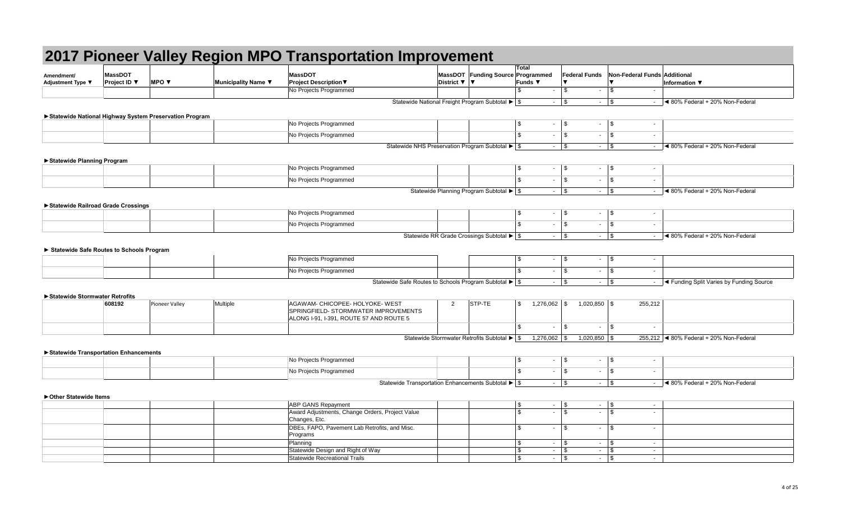| <b>MPO ▼</b><br>Project ID ▼<br>Municipality Name ▼<br>Project Description ▼<br>District ▼ ▼<br><b>Funds ▼</b><br>Adjustment Type ▼<br>Information ▼<br>\$<br>\$<br>No Projects Programmed<br>$\omega$<br>Statewide National Freight Program Subtotal ▶ Statewide National Freight Program Subtotal ▶ St<br>$-$ \$<br>$-$ 4 80% Federal + 20% Non-Federal<br>\$<br>$\sim$ 1<br>Statewide National Highway System Preservation Program<br>No Projects Programmed<br>\$<br>1\$<br>\$<br>$\sim$<br>$\sim$<br>$\sim$<br>\$.<br>\$<br>\$<br>No Projects Programmed<br>$\sim$<br>$\sim$<br>$\sim$<br>Statewide NHS Preservation Program Subtotal ▶ \$<br>$-$ \$<br>$-$ 4 80% Federal + 20% Non-Federal<br>Statewide Planning Program<br>No Projects Programmed<br>-\$<br>\$<br>1\$<br>$\sim$<br>$\sim$<br>$\overline{\phantom{a}}$<br>$\mathfrak{L}$<br>$\sqrt{3}$<br>\$<br>No Projects Programmed<br>$\sim$<br>$\sim$<br>$\sim$<br>$-$ 4 80% Federal + 20% Non-Federal<br>Statewide Planning Program Subtotal ▶   \$<br>$-$ \$<br>$-1$ \$<br>Statewide Railroad Grade Crossings<br>No Projects Programmed<br>-\$<br>$\ddot{s}$<br>$-1$ \$<br>$\sim$<br>$\sim$<br>\$.<br>$\mathfrak{S}$<br>\$<br>No Projects Programmed<br>$\sim$<br>$\sim$<br>$\sim$<br>Statewide RR Grade Crossings Subtotal ▶ \$<br>$-$ \$<br>$-$ 4 80% Federal + 20% Non-Federal<br>Statewide Safe Routes to Schools Program<br>No Projects Programmed<br>$\sqrt{3}$<br><b>S</b><br>\$<br>$\sim$<br>$\blacksquare$<br>$\sim$<br>\$<br>$\mathfrak{S}$<br>\$<br>No Projects Programmed<br>$\sim$<br>$\sim$<br>$\sim$<br>Statewide Safe Routes to Schools Program Subtotal ▶ \$<br>- <a> - <a> I<br/> <a> I<br/> <a> I<br/> <a> I<br/> <a> I<br/> <a> I<br/> <a> I<br/> <a> I<br/> <a> I<br/> <a> I<br/> <a> I<br/> <a> I<br/> &lt;<a> I<br/>&lt;</a> I<br/>Source<br/><math>-1</math>\$<br/><math>-1</math>\$<br/>▶ Statewide Stormwater Retrofits<br/>AGAWAM- CHICOPEE- HOLYOKE- WEST<br/>STP-TE<br/><math>1,276,062</math> \$<br/>1,020,850 \$<br/>255,212<br/>608192<br/>Pioneer Valley<br/>Multiple<br/><math>\overline{2}</math><br/>\$<br/>SPRINGFIELD- STORMWATER IMPROVEMENTS<br/>ALONG I-91, I-391, ROUTE 57 AND ROUTE 5<br/>\$<br/>\$<br/>\$<br/><math display="inline">\sim</math><br/><math display="inline">\sim</math><br/>255,212 4 80% Federal + 20% Non-Federal<br/>Statewide Stormwater Retrofits Subtotal ▶ St<br/><math>1,276,062</math> \$<br/><math>1,020,850</math> \$<br/>Statewide Transportation Enhancements<br/>No Projects Programmed<br><math>\mathfrak s</math><br><math>-</math> \$<br>\$<br><math display="inline">\sim</math><br><math display="inline">\sim</math><br><math>\overline{\mathbf{s}}</math><br>\$<br>\$<br>No Projects Programmed<br><math display="inline">\sim</math><br><math display="inline">\sim</math><br><math display="inline">\sim</math><br>Statewide Transportation Enhancements Subtotal ▶ S<br/><math>-</math> 4 80% Federal + 20% Non-Federal<br/>▶ Other Statewide Items<br/><b>ABP GANS Repayment</b><br/>\$<br/>\$<br/><math> \sqrt{ }</math><br/><math display="inline">\sim 10</math><br/><math display="inline">\sim</math><br/>Award Adjustments, Change Orders, Project Value<br/><math>\mathbb{S}</math><br/><math>\mathbb{S}</math><br/>\$<br/><math display="inline">\sim</math><br/><math display="inline">\sim</math><br/><math display="inline">\blacksquare</math><br/>Changes, Etc.<br/>DBEs, FAPO, Pavement Lab Retrofits, and Misc.<br/>\$<br/>\$<br/><math>\mathfrak{F}</math><br/><math display="inline">\sim</math><br/><math display="inline">\sim</math><br/><math display="inline">\overline{\phantom{a}}</math><br/>Programs<br/>Planning<br/>\$<br/>- \$<br/>\$<br/><math display="inline">\sim</math><br/><math display="inline">\sim</math><br/><math display="inline">\sim</math><br/>Statewide Design and Right of Way<br/>\$<br/>\$<br/>\$<br/><math display="inline">\sim</math><br/><math display="inline">\sim</math><br/><math display="inline">\sim</math></br></br></br></br></br></br></br></br></br></br></br></br></br></a></a></a></a></a></a></a></a></a></a></a></a></a> | Amendment/ | <b>MassDOT</b> |  | <b>MassDOT</b>                       | MassDOT Funding Source Programmed | Total | <b>Federal Funds</b> | Non-Federal Funds Additional |  |
|------------------------------------------------------------------------------------------------------------------------------------------------------------------------------------------------------------------------------------------------------------------------------------------------------------------------------------------------------------------------------------------------------------------------------------------------------------------------------------------------------------------------------------------------------------------------------------------------------------------------------------------------------------------------------------------------------------------------------------------------------------------------------------------------------------------------------------------------------------------------------------------------------------------------------------------------------------------------------------------------------------------------------------------------------------------------------------------------------------------------------------------------------------------------------------------------------------------------------------------------------------------------------------------------------------------------------------------------------------------------------------------------------------------------------------------------------------------------------------------------------------------------------------------------------------------------------------------------------------------------------------------------------------------------------------------------------------------------------------------------------------------------------------------------------------------------------------------------------------------------------------------------------------------------------------------------------------------------------------------------------------------------------------------------------------------------------------------------------------------------------------------------------------------------------------------------------------------------------------------------------------------------------------------------------------------------------------------------------------------------------------------------------------------------------------------------------------------------------------------------------------------------------------------------------------------------------------------------------------------------------------------------------------------------------------------------------------------------------------------------------------------------------------------------------------------------------------------------------------------------------------------------------------------------------------------------------------------------------------------------------------------------------------------------------------------------------------------------------------------------------------------------------------------------------------------------------------------------------------------------------------------------------------------------------------------------------------------------------------------------------------------------------------------------------------------------------------------------------------------------------------------------------------------------------------------------------------------------------------------------------------------------------------------------------------------------------------------------------------------------------------------------------------------------------------------------------------------------------------------------------------------------------------------------------------------------------------------------------------------------------------------------------------------------------------------------------------------------------------------------------------------------|------------|----------------|--|--------------------------------------|-----------------------------------|-------|----------------------|------------------------------|--|
|                                                                                                                                                                                                                                                                                                                                                                                                                                                                                                                                                                                                                                                                                                                                                                                                                                                                                                                                                                                                                                                                                                                                                                                                                                                                                                                                                                                                                                                                                                                                                                                                                                                                                                                                                                                                                                                                                                                                                                                                                                                                                                                                                                                                                                                                                                                                                                                                                                                                                                                                                                                                                                                                                                                                                                                                                                                                                                                                                                                                                                                                                                                                                                                                                                                                                                                                                                                                                                                                                                                                                                                                                                                                                                                                                                                                                                                                                                                                                                                                                                                                                                                                                |            |                |  |                                      |                                   |       |                      |                              |  |
|                                                                                                                                                                                                                                                                                                                                                                                                                                                                                                                                                                                                                                                                                                                                                                                                                                                                                                                                                                                                                                                                                                                                                                                                                                                                                                                                                                                                                                                                                                                                                                                                                                                                                                                                                                                                                                                                                                                                                                                                                                                                                                                                                                                                                                                                                                                                                                                                                                                                                                                                                                                                                                                                                                                                                                                                                                                                                                                                                                                                                                                                                                                                                                                                                                                                                                                                                                                                                                                                                                                                                                                                                                                                                                                                                                                                                                                                                                                                                                                                                                                                                                                                                |            |                |  |                                      |                                   |       |                      |                              |  |
|                                                                                                                                                                                                                                                                                                                                                                                                                                                                                                                                                                                                                                                                                                                                                                                                                                                                                                                                                                                                                                                                                                                                                                                                                                                                                                                                                                                                                                                                                                                                                                                                                                                                                                                                                                                                                                                                                                                                                                                                                                                                                                                                                                                                                                                                                                                                                                                                                                                                                                                                                                                                                                                                                                                                                                                                                                                                                                                                                                                                                                                                                                                                                                                                                                                                                                                                                                                                                                                                                                                                                                                                                                                                                                                                                                                                                                                                                                                                                                                                                                                                                                                                                |            |                |  |                                      |                                   |       |                      |                              |  |
|                                                                                                                                                                                                                                                                                                                                                                                                                                                                                                                                                                                                                                                                                                                                                                                                                                                                                                                                                                                                                                                                                                                                                                                                                                                                                                                                                                                                                                                                                                                                                                                                                                                                                                                                                                                                                                                                                                                                                                                                                                                                                                                                                                                                                                                                                                                                                                                                                                                                                                                                                                                                                                                                                                                                                                                                                                                                                                                                                                                                                                                                                                                                                                                                                                                                                                                                                                                                                                                                                                                                                                                                                                                                                                                                                                                                                                                                                                                                                                                                                                                                                                                                                |            |                |  |                                      |                                   |       |                      |                              |  |
|                                                                                                                                                                                                                                                                                                                                                                                                                                                                                                                                                                                                                                                                                                                                                                                                                                                                                                                                                                                                                                                                                                                                                                                                                                                                                                                                                                                                                                                                                                                                                                                                                                                                                                                                                                                                                                                                                                                                                                                                                                                                                                                                                                                                                                                                                                                                                                                                                                                                                                                                                                                                                                                                                                                                                                                                                                                                                                                                                                                                                                                                                                                                                                                                                                                                                                                                                                                                                                                                                                                                                                                                                                                                                                                                                                                                                                                                                                                                                                                                                                                                                                                                                |            |                |  |                                      |                                   |       |                      |                              |  |
|                                                                                                                                                                                                                                                                                                                                                                                                                                                                                                                                                                                                                                                                                                                                                                                                                                                                                                                                                                                                                                                                                                                                                                                                                                                                                                                                                                                                                                                                                                                                                                                                                                                                                                                                                                                                                                                                                                                                                                                                                                                                                                                                                                                                                                                                                                                                                                                                                                                                                                                                                                                                                                                                                                                                                                                                                                                                                                                                                                                                                                                                                                                                                                                                                                                                                                                                                                                                                                                                                                                                                                                                                                                                                                                                                                                                                                                                                                                                                                                                                                                                                                                                                |            |                |  |                                      |                                   |       |                      |                              |  |
|                                                                                                                                                                                                                                                                                                                                                                                                                                                                                                                                                                                                                                                                                                                                                                                                                                                                                                                                                                                                                                                                                                                                                                                                                                                                                                                                                                                                                                                                                                                                                                                                                                                                                                                                                                                                                                                                                                                                                                                                                                                                                                                                                                                                                                                                                                                                                                                                                                                                                                                                                                                                                                                                                                                                                                                                                                                                                                                                                                                                                                                                                                                                                                                                                                                                                                                                                                                                                                                                                                                                                                                                                                                                                                                                                                                                                                                                                                                                                                                                                                                                                                                                                |            |                |  |                                      |                                   |       |                      |                              |  |
|                                                                                                                                                                                                                                                                                                                                                                                                                                                                                                                                                                                                                                                                                                                                                                                                                                                                                                                                                                                                                                                                                                                                                                                                                                                                                                                                                                                                                                                                                                                                                                                                                                                                                                                                                                                                                                                                                                                                                                                                                                                                                                                                                                                                                                                                                                                                                                                                                                                                                                                                                                                                                                                                                                                                                                                                                                                                                                                                                                                                                                                                                                                                                                                                                                                                                                                                                                                                                                                                                                                                                                                                                                                                                                                                                                                                                                                                                                                                                                                                                                                                                                                                                |            |                |  |                                      |                                   |       |                      |                              |  |
|                                                                                                                                                                                                                                                                                                                                                                                                                                                                                                                                                                                                                                                                                                                                                                                                                                                                                                                                                                                                                                                                                                                                                                                                                                                                                                                                                                                                                                                                                                                                                                                                                                                                                                                                                                                                                                                                                                                                                                                                                                                                                                                                                                                                                                                                                                                                                                                                                                                                                                                                                                                                                                                                                                                                                                                                                                                                                                                                                                                                                                                                                                                                                                                                                                                                                                                                                                                                                                                                                                                                                                                                                                                                                                                                                                                                                                                                                                                                                                                                                                                                                                                                                |            |                |  |                                      |                                   |       |                      |                              |  |
|                                                                                                                                                                                                                                                                                                                                                                                                                                                                                                                                                                                                                                                                                                                                                                                                                                                                                                                                                                                                                                                                                                                                                                                                                                                                                                                                                                                                                                                                                                                                                                                                                                                                                                                                                                                                                                                                                                                                                                                                                                                                                                                                                                                                                                                                                                                                                                                                                                                                                                                                                                                                                                                                                                                                                                                                                                                                                                                                                                                                                                                                                                                                                                                                                                                                                                                                                                                                                                                                                                                                                                                                                                                                                                                                                                                                                                                                                                                                                                                                                                                                                                                                                |            |                |  |                                      |                                   |       |                      |                              |  |
|                                                                                                                                                                                                                                                                                                                                                                                                                                                                                                                                                                                                                                                                                                                                                                                                                                                                                                                                                                                                                                                                                                                                                                                                                                                                                                                                                                                                                                                                                                                                                                                                                                                                                                                                                                                                                                                                                                                                                                                                                                                                                                                                                                                                                                                                                                                                                                                                                                                                                                                                                                                                                                                                                                                                                                                                                                                                                                                                                                                                                                                                                                                                                                                                                                                                                                                                                                                                                                                                                                                                                                                                                                                                                                                                                                                                                                                                                                                                                                                                                                                                                                                                                |            |                |  |                                      |                                   |       |                      |                              |  |
|                                                                                                                                                                                                                                                                                                                                                                                                                                                                                                                                                                                                                                                                                                                                                                                                                                                                                                                                                                                                                                                                                                                                                                                                                                                                                                                                                                                                                                                                                                                                                                                                                                                                                                                                                                                                                                                                                                                                                                                                                                                                                                                                                                                                                                                                                                                                                                                                                                                                                                                                                                                                                                                                                                                                                                                                                                                                                                                                                                                                                                                                                                                                                                                                                                                                                                                                                                                                                                                                                                                                                                                                                                                                                                                                                                                                                                                                                                                                                                                                                                                                                                                                                |            |                |  |                                      |                                   |       |                      |                              |  |
|                                                                                                                                                                                                                                                                                                                                                                                                                                                                                                                                                                                                                                                                                                                                                                                                                                                                                                                                                                                                                                                                                                                                                                                                                                                                                                                                                                                                                                                                                                                                                                                                                                                                                                                                                                                                                                                                                                                                                                                                                                                                                                                                                                                                                                                                                                                                                                                                                                                                                                                                                                                                                                                                                                                                                                                                                                                                                                                                                                                                                                                                                                                                                                                                                                                                                                                                                                                                                                                                                                                                                                                                                                                                                                                                                                                                                                                                                                                                                                                                                                                                                                                                                |            |                |  |                                      |                                   |       |                      |                              |  |
|                                                                                                                                                                                                                                                                                                                                                                                                                                                                                                                                                                                                                                                                                                                                                                                                                                                                                                                                                                                                                                                                                                                                                                                                                                                                                                                                                                                                                                                                                                                                                                                                                                                                                                                                                                                                                                                                                                                                                                                                                                                                                                                                                                                                                                                                                                                                                                                                                                                                                                                                                                                                                                                                                                                                                                                                                                                                                                                                                                                                                                                                                                                                                                                                                                                                                                                                                                                                                                                                                                                                                                                                                                                                                                                                                                                                                                                                                                                                                                                                                                                                                                                                                |            |                |  |                                      |                                   |       |                      |                              |  |
|                                                                                                                                                                                                                                                                                                                                                                                                                                                                                                                                                                                                                                                                                                                                                                                                                                                                                                                                                                                                                                                                                                                                                                                                                                                                                                                                                                                                                                                                                                                                                                                                                                                                                                                                                                                                                                                                                                                                                                                                                                                                                                                                                                                                                                                                                                                                                                                                                                                                                                                                                                                                                                                                                                                                                                                                                                                                                                                                                                                                                                                                                                                                                                                                                                                                                                                                                                                                                                                                                                                                                                                                                                                                                                                                                                                                                                                                                                                                                                                                                                                                                                                                                |            |                |  |                                      |                                   |       |                      |                              |  |
|                                                                                                                                                                                                                                                                                                                                                                                                                                                                                                                                                                                                                                                                                                                                                                                                                                                                                                                                                                                                                                                                                                                                                                                                                                                                                                                                                                                                                                                                                                                                                                                                                                                                                                                                                                                                                                                                                                                                                                                                                                                                                                                                                                                                                                                                                                                                                                                                                                                                                                                                                                                                                                                                                                                                                                                                                                                                                                                                                                                                                                                                                                                                                                                                                                                                                                                                                                                                                                                                                                                                                                                                                                                                                                                                                                                                                                                                                                                                                                                                                                                                                                                                                |            |                |  |                                      |                                   |       |                      |                              |  |
|                                                                                                                                                                                                                                                                                                                                                                                                                                                                                                                                                                                                                                                                                                                                                                                                                                                                                                                                                                                                                                                                                                                                                                                                                                                                                                                                                                                                                                                                                                                                                                                                                                                                                                                                                                                                                                                                                                                                                                                                                                                                                                                                                                                                                                                                                                                                                                                                                                                                                                                                                                                                                                                                                                                                                                                                                                                                                                                                                                                                                                                                                                                                                                                                                                                                                                                                                                                                                                                                                                                                                                                                                                                                                                                                                                                                                                                                                                                                                                                                                                                                                                                                                |            |                |  |                                      |                                   |       |                      |                              |  |
|                                                                                                                                                                                                                                                                                                                                                                                                                                                                                                                                                                                                                                                                                                                                                                                                                                                                                                                                                                                                                                                                                                                                                                                                                                                                                                                                                                                                                                                                                                                                                                                                                                                                                                                                                                                                                                                                                                                                                                                                                                                                                                                                                                                                                                                                                                                                                                                                                                                                                                                                                                                                                                                                                                                                                                                                                                                                                                                                                                                                                                                                                                                                                                                                                                                                                                                                                                                                                                                                                                                                                                                                                                                                                                                                                                                                                                                                                                                                                                                                                                                                                                                                                |            |                |  |                                      |                                   |       |                      |                              |  |
|                                                                                                                                                                                                                                                                                                                                                                                                                                                                                                                                                                                                                                                                                                                                                                                                                                                                                                                                                                                                                                                                                                                                                                                                                                                                                                                                                                                                                                                                                                                                                                                                                                                                                                                                                                                                                                                                                                                                                                                                                                                                                                                                                                                                                                                                                                                                                                                                                                                                                                                                                                                                                                                                                                                                                                                                                                                                                                                                                                                                                                                                                                                                                                                                                                                                                                                                                                                                                                                                                                                                                                                                                                                                                                                                                                                                                                                                                                                                                                                                                                                                                                                                                |            |                |  |                                      |                                   |       |                      |                              |  |
|                                                                                                                                                                                                                                                                                                                                                                                                                                                                                                                                                                                                                                                                                                                                                                                                                                                                                                                                                                                                                                                                                                                                                                                                                                                                                                                                                                                                                                                                                                                                                                                                                                                                                                                                                                                                                                                                                                                                                                                                                                                                                                                                                                                                                                                                                                                                                                                                                                                                                                                                                                                                                                                                                                                                                                                                                                                                                                                                                                                                                                                                                                                                                                                                                                                                                                                                                                                                                                                                                                                                                                                                                                                                                                                                                                                                                                                                                                                                                                                                                                                                                                                                                |            |                |  |                                      |                                   |       |                      |                              |  |
|                                                                                                                                                                                                                                                                                                                                                                                                                                                                                                                                                                                                                                                                                                                                                                                                                                                                                                                                                                                                                                                                                                                                                                                                                                                                                                                                                                                                                                                                                                                                                                                                                                                                                                                                                                                                                                                                                                                                                                                                                                                                                                                                                                                                                                                                                                                                                                                                                                                                                                                                                                                                                                                                                                                                                                                                                                                                                                                                                                                                                                                                                                                                                                                                                                                                                                                                                                                                                                                                                                                                                                                                                                                                                                                                                                                                                                                                                                                                                                                                                                                                                                                                                |            |                |  |                                      |                                   |       |                      |                              |  |
|                                                                                                                                                                                                                                                                                                                                                                                                                                                                                                                                                                                                                                                                                                                                                                                                                                                                                                                                                                                                                                                                                                                                                                                                                                                                                                                                                                                                                                                                                                                                                                                                                                                                                                                                                                                                                                                                                                                                                                                                                                                                                                                                                                                                                                                                                                                                                                                                                                                                                                                                                                                                                                                                                                                                                                                                                                                                                                                                                                                                                                                                                                                                                                                                                                                                                                                                                                                                                                                                                                                                                                                                                                                                                                                                                                                                                                                                                                                                                                                                                                                                                                                                                |            |                |  |                                      |                                   |       |                      |                              |  |
|                                                                                                                                                                                                                                                                                                                                                                                                                                                                                                                                                                                                                                                                                                                                                                                                                                                                                                                                                                                                                                                                                                                                                                                                                                                                                                                                                                                                                                                                                                                                                                                                                                                                                                                                                                                                                                                                                                                                                                                                                                                                                                                                                                                                                                                                                                                                                                                                                                                                                                                                                                                                                                                                                                                                                                                                                                                                                                                                                                                                                                                                                                                                                                                                                                                                                                                                                                                                                                                                                                                                                                                                                                                                                                                                                                                                                                                                                                                                                                                                                                                                                                                                                |            |                |  |                                      |                                   |       |                      |                              |  |
|                                                                                                                                                                                                                                                                                                                                                                                                                                                                                                                                                                                                                                                                                                                                                                                                                                                                                                                                                                                                                                                                                                                                                                                                                                                                                                                                                                                                                                                                                                                                                                                                                                                                                                                                                                                                                                                                                                                                                                                                                                                                                                                                                                                                                                                                                                                                                                                                                                                                                                                                                                                                                                                                                                                                                                                                                                                                                                                                                                                                                                                                                                                                                                                                                                                                                                                                                                                                                                                                                                                                                                                                                                                                                                                                                                                                                                                                                                                                                                                                                                                                                                                                                |            |                |  |                                      |                                   |       |                      |                              |  |
|                                                                                                                                                                                                                                                                                                                                                                                                                                                                                                                                                                                                                                                                                                                                                                                                                                                                                                                                                                                                                                                                                                                                                                                                                                                                                                                                                                                                                                                                                                                                                                                                                                                                                                                                                                                                                                                                                                                                                                                                                                                                                                                                                                                                                                                                                                                                                                                                                                                                                                                                                                                                                                                                                                                                                                                                                                                                                                                                                                                                                                                                                                                                                                                                                                                                                                                                                                                                                                                                                                                                                                                                                                                                                                                                                                                                                                                                                                                                                                                                                                                                                                                                                |            |                |  |                                      |                                   |       |                      |                              |  |
|                                                                                                                                                                                                                                                                                                                                                                                                                                                                                                                                                                                                                                                                                                                                                                                                                                                                                                                                                                                                                                                                                                                                                                                                                                                                                                                                                                                                                                                                                                                                                                                                                                                                                                                                                                                                                                                                                                                                                                                                                                                                                                                                                                                                                                                                                                                                                                                                                                                                                                                                                                                                                                                                                                                                                                                                                                                                                                                                                                                                                                                                                                                                                                                                                                                                                                                                                                                                                                                                                                                                                                                                                                                                                                                                                                                                                                                                                                                                                                                                                                                                                                                                                |            |                |  |                                      |                                   |       |                      |                              |  |
|                                                                                                                                                                                                                                                                                                                                                                                                                                                                                                                                                                                                                                                                                                                                                                                                                                                                                                                                                                                                                                                                                                                                                                                                                                                                                                                                                                                                                                                                                                                                                                                                                                                                                                                                                                                                                                                                                                                                                                                                                                                                                                                                                                                                                                                                                                                                                                                                                                                                                                                                                                                                                                                                                                                                                                                                                                                                                                                                                                                                                                                                                                                                                                                                                                                                                                                                                                                                                                                                                                                                                                                                                                                                                                                                                                                                                                                                                                                                                                                                                                                                                                                                                |            |                |  |                                      |                                   |       |                      |                              |  |
|                                                                                                                                                                                                                                                                                                                                                                                                                                                                                                                                                                                                                                                                                                                                                                                                                                                                                                                                                                                                                                                                                                                                                                                                                                                                                                                                                                                                                                                                                                                                                                                                                                                                                                                                                                                                                                                                                                                                                                                                                                                                                                                                                                                                                                                                                                                                                                                                                                                                                                                                                                                                                                                                                                                                                                                                                                                                                                                                                                                                                                                                                                                                                                                                                                                                                                                                                                                                                                                                                                                                                                                                                                                                                                                                                                                                                                                                                                                                                                                                                                                                                                                                                |            |                |  |                                      |                                   |       |                      |                              |  |
|                                                                                                                                                                                                                                                                                                                                                                                                                                                                                                                                                                                                                                                                                                                                                                                                                                                                                                                                                                                                                                                                                                                                                                                                                                                                                                                                                                                                                                                                                                                                                                                                                                                                                                                                                                                                                                                                                                                                                                                                                                                                                                                                                                                                                                                                                                                                                                                                                                                                                                                                                                                                                                                                                                                                                                                                                                                                                                                                                                                                                                                                                                                                                                                                                                                                                                                                                                                                                                                                                                                                                                                                                                                                                                                                                                                                                                                                                                                                                                                                                                                                                                                                                |            |                |  |                                      |                                   |       |                      |                              |  |
|                                                                                                                                                                                                                                                                                                                                                                                                                                                                                                                                                                                                                                                                                                                                                                                                                                                                                                                                                                                                                                                                                                                                                                                                                                                                                                                                                                                                                                                                                                                                                                                                                                                                                                                                                                                                                                                                                                                                                                                                                                                                                                                                                                                                                                                                                                                                                                                                                                                                                                                                                                                                                                                                                                                                                                                                                                                                                                                                                                                                                                                                                                                                                                                                                                                                                                                                                                                                                                                                                                                                                                                                                                                                                                                                                                                                                                                                                                                                                                                                                                                                                                                                                |            |                |  |                                      |                                   |       |                      |                              |  |
|                                                                                                                                                                                                                                                                                                                                                                                                                                                                                                                                                                                                                                                                                                                                                                                                                                                                                                                                                                                                                                                                                                                                                                                                                                                                                                                                                                                                                                                                                                                                                                                                                                                                                                                                                                                                                                                                                                                                                                                                                                                                                                                                                                                                                                                                                                                                                                                                                                                                                                                                                                                                                                                                                                                                                                                                                                                                                                                                                                                                                                                                                                                                                                                                                                                                                                                                                                                                                                                                                                                                                                                                                                                                                                                                                                                                                                                                                                                                                                                                                                                                                                                                                |            |                |  |                                      |                                   |       |                      |                              |  |
|                                                                                                                                                                                                                                                                                                                                                                                                                                                                                                                                                                                                                                                                                                                                                                                                                                                                                                                                                                                                                                                                                                                                                                                                                                                                                                                                                                                                                                                                                                                                                                                                                                                                                                                                                                                                                                                                                                                                                                                                                                                                                                                                                                                                                                                                                                                                                                                                                                                                                                                                                                                                                                                                                                                                                                                                                                                                                                                                                                                                                                                                                                                                                                                                                                                                                                                                                                                                                                                                                                                                                                                                                                                                                                                                                                                                                                                                                                                                                                                                                                                                                                                                                |            |                |  |                                      |                                   |       |                      |                              |  |
|                                                                                                                                                                                                                                                                                                                                                                                                                                                                                                                                                                                                                                                                                                                                                                                                                                                                                                                                                                                                                                                                                                                                                                                                                                                                                                                                                                                                                                                                                                                                                                                                                                                                                                                                                                                                                                                                                                                                                                                                                                                                                                                                                                                                                                                                                                                                                                                                                                                                                                                                                                                                                                                                                                                                                                                                                                                                                                                                                                                                                                                                                                                                                                                                                                                                                                                                                                                                                                                                                                                                                                                                                                                                                                                                                                                                                                                                                                                                                                                                                                                                                                                                                |            |                |  |                                      |                                   |       |                      |                              |  |
|                                                                                                                                                                                                                                                                                                                                                                                                                                                                                                                                                                                                                                                                                                                                                                                                                                                                                                                                                                                                                                                                                                                                                                                                                                                                                                                                                                                                                                                                                                                                                                                                                                                                                                                                                                                                                                                                                                                                                                                                                                                                                                                                                                                                                                                                                                                                                                                                                                                                                                                                                                                                                                                                                                                                                                                                                                                                                                                                                                                                                                                                                                                                                                                                                                                                                                                                                                                                                                                                                                                                                                                                                                                                                                                                                                                                                                                                                                                                                                                                                                                                                                                                                |            |                |  |                                      |                                   |       |                      |                              |  |
|                                                                                                                                                                                                                                                                                                                                                                                                                                                                                                                                                                                                                                                                                                                                                                                                                                                                                                                                                                                                                                                                                                                                                                                                                                                                                                                                                                                                                                                                                                                                                                                                                                                                                                                                                                                                                                                                                                                                                                                                                                                                                                                                                                                                                                                                                                                                                                                                                                                                                                                                                                                                                                                                                                                                                                                                                                                                                                                                                                                                                                                                                                                                                                                                                                                                                                                                                                                                                                                                                                                                                                                                                                                                                                                                                                                                                                                                                                                                                                                                                                                                                                                                                |            |                |  |                                      |                                   |       |                      |                              |  |
|                                                                                                                                                                                                                                                                                                                                                                                                                                                                                                                                                                                                                                                                                                                                                                                                                                                                                                                                                                                                                                                                                                                                                                                                                                                                                                                                                                                                                                                                                                                                                                                                                                                                                                                                                                                                                                                                                                                                                                                                                                                                                                                                                                                                                                                                                                                                                                                                                                                                                                                                                                                                                                                                                                                                                                                                                                                                                                                                                                                                                                                                                                                                                                                                                                                                                                                                                                                                                                                                                                                                                                                                                                                                                                                                                                                                                                                                                                                                                                                                                                                                                                                                                |            |                |  |                                      |                                   |       |                      |                              |  |
| $\sim 100$<br>$\sim$ 10 $\pm$<br>$\sim$                                                                                                                                                                                                                                                                                                                                                                                                                                                                                                                                                                                                                                                                                                                                                                                                                                                                                                                                                                                                                                                                                                                                                                                                                                                                                                                                                                                                                                                                                                                                                                                                                                                                                                                                                                                                                                                                                                                                                                                                                                                                                                                                                                                                                                                                                                                                                                                                                                                                                                                                                                                                                                                                                                                                                                                                                                                                                                                                                                                                                                                                                                                                                                                                                                                                                                                                                                                                                                                                                                                                                                                                                                                                                                                                                                                                                                                                                                                                                                                                                                                                                                        |            |                |  | <b>Statewide Recreational Trails</b> |                                   | \$    | $\overline{\$}$      | \$                           |  |

#### 4 of 25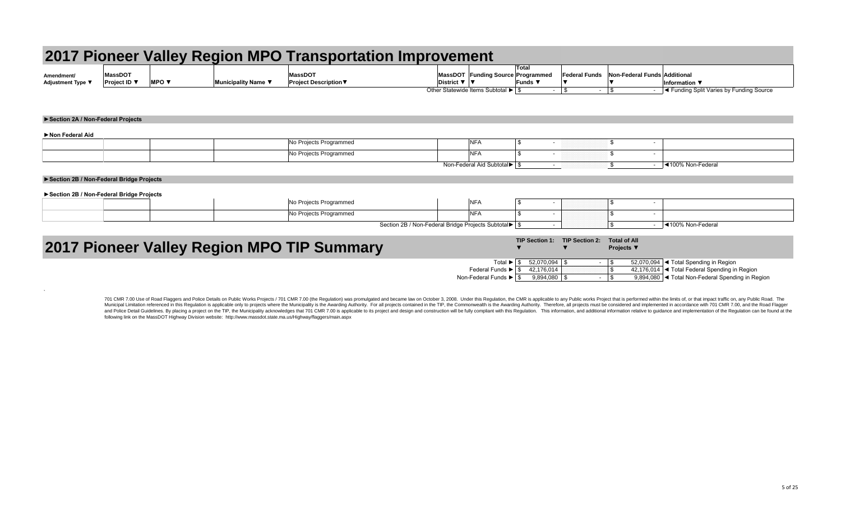|                                          |                                |                                 |                                            | 2017 Pioneer Valley Region MPO Transportation Improvement |                                                       |                                                                      |                              |                        |                                     |                                                                                                     |
|------------------------------------------|--------------------------------|---------------------------------|--------------------------------------------|-----------------------------------------------------------|-------------------------------------------------------|----------------------------------------------------------------------|------------------------------|------------------------|-------------------------------------|-----------------------------------------------------------------------------------------------------|
| Amendment/<br><b>Adjustment Type ▼</b>   | <b>MassDOT</b><br>Project ID ▼ | <b>MPO</b> $\blacktriangledown$ | Municipality Name ▼                        | <b>MassDOT</b><br><b>Project Description ▼</b>            | District $\nabla$ $\nabla$                            | MassDOT Funding Source Programmed                                    | Total<br>Funds ▼             | <b>Federal Funds</b>   | <b>Non-Federal Funds Additional</b> | Information ▼                                                                                       |
|                                          |                                |                                 |                                            |                                                           |                                                       | Other Statewide Items Subtotal ▶ S                                   | $\sim$ 100 $\mu$             | $\mathbf{R}$<br>$\sim$ | £.                                  | ◀ Funding Split Varies by Funding Source                                                            |
|                                          |                                |                                 |                                            |                                                           |                                                       |                                                                      |                              |                        |                                     |                                                                                                     |
| Section 2A / Non-Federal Projects        |                                |                                 |                                            |                                                           |                                                       |                                                                      |                              |                        |                                     |                                                                                                     |
| Non Federal Aid                          |                                |                                 |                                            |                                                           |                                                       |                                                                      |                              |                        |                                     |                                                                                                     |
|                                          |                                |                                 |                                            | No Projects Programmed                                    |                                                       | <b>NFA</b>                                                           |                              |                        | \$                                  |                                                                                                     |
|                                          |                                |                                 |                                            | No Projects Programmed                                    |                                                       | <b>NFA</b>                                                           |                              |                        | \$<br>$\blacksquare$                |                                                                                                     |
|                                          |                                |                                 |                                            |                                                           |                                                       | Non-Federal Aid Subtotal ▶ S                                         | $\sim$                       |                        | \$                                  | ◀100% Non-Federal                                                                                   |
| Section 2B / Non-Federal Bridge Projects |                                |                                 |                                            |                                                           |                                                       |                                                                      |                              |                        |                                     |                                                                                                     |
| Section 2B / Non-Federal Bridge Projects |                                |                                 |                                            |                                                           |                                                       |                                                                      |                              |                        |                                     |                                                                                                     |
|                                          |                                |                                 |                                            | No Projects Programmed                                    |                                                       | <b>NFA</b>                                                           |                              |                        | \$                                  |                                                                                                     |
|                                          |                                |                                 |                                            | No Projects Programmed                                    |                                                       | <b>NFA</b>                                                           |                              |                        | \$.<br>$\blacksquare$               |                                                                                                     |
|                                          |                                |                                 |                                            |                                                           | Section 2B / Non-Federal Bridge Projects Subtotal ▶ S |                                                                      |                              |                        | £.                                  | ■ 100% Non-Federal                                                                                  |
|                                          |                                |                                 |                                            |                                                           |                                                       |                                                                      | <b>TIP Section 1:</b>        | <b>TIP Section 2:</b>  | <b>Total of All</b>                 |                                                                                                     |
|                                          |                                |                                 | 2017 Pioneer Valley Region MPO TIP Summary |                                                           |                                                       |                                                                      |                              |                        | <b>Projects</b> ▼                   |                                                                                                     |
|                                          |                                |                                 |                                            |                                                           |                                                       | Total $\blacktriangleright$                                          | 52,070,094 \$                | $\sim$ 100 $\mu$       | $\vert$ \$                          | 52,070,094 < Total Spending in Region                                                               |
|                                          |                                |                                 |                                            |                                                           |                                                       | Federal Funds ►<br>Non-Federal Funds $\blacktriangleright$ $\mid$ \$ | 42,176,014<br>$9,894,080$ \$ |                        | \$.<br>\$                           | 42,176,014  ◀ Total Federal Spending in Region<br>9,894,080  ◀ Total Non-Federal Spending in Region |

`

701 CMR 7.00 Use of Road Flaggers and Police Details on Public Works Projects / 701 CMR 7.00 (the Regulation) was promulgated and became law on October 3, 2008. Under this Regulation, the CMR is applicable to any Public wo Municipal Limitation referenced in this Regulation is applicable only to projects where the Municipality is the Awarding Authority. For all projects contained in the TIP, the Commonwealth is the Awarding Authority. Therefo and Police Detail Guidelines. By placing a project on the TIP, the Municipality acknowledges that 701 CMR 7.00 is applicable to its project and design and construction will be fully compliant with this Regulation. This inf following link on the MassDOT Highway Division website: http://www.massdot.state.ma.us/Highway/flaggers/main.aspx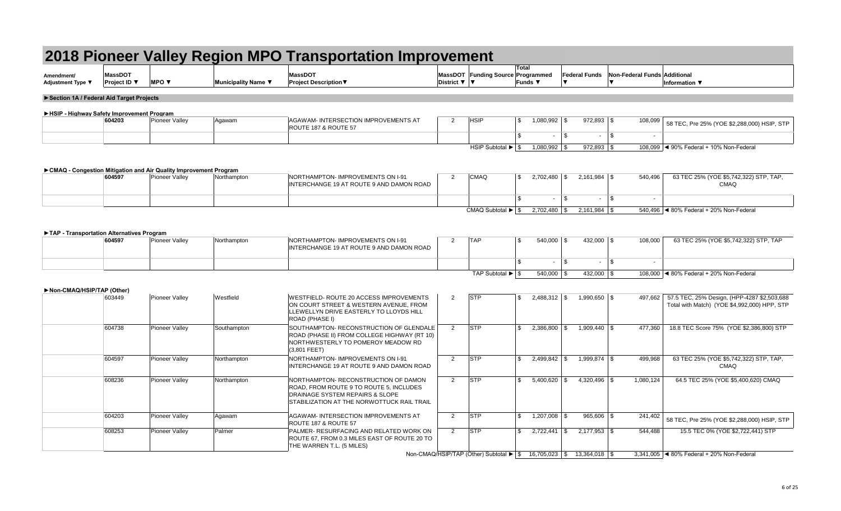#### **Amendment/ Adjustment Type ▼ MassDOT Project ID ▼ MPO ▼ Municipality Name ▼ MassDOT Project Description**▼ **MassDOT District** ▼ **Funding Source Programmed**  ▼ **Total Funds** ▼ **Federal Funds**  ▼ **Non-Federal Funds Additional**  ▼ **604203** Pioneer Valley Agawam AGAWAM- INTERSECTION IMPROVEMENTS AT ROUTE 187 & ROUTE 57 2 | HSIP | \$ 1,080,992 | \$ 972,893 | \$ 108,099 \$ - \$ - \$ - HSIP Subtotal ▶ \$ 1,080,992 \$ 972,893 \$ **604597** Pioneer Valley **Northampton** NORTHAMPTON- IMPROVEMENTS ON 1-91 INTERCHANGE 19 AT ROUTE 9 AND DAMON ROAD 2 CMAQ \$ 2,702,480 \$ 2,161,984 \$ 540,496 \$ - \$ - \$ -  $CMAO Subtotal > 3$  2.702.480 \$ 2.161,984 \$ **604597** Pioneer Valley **Northampton** NORTHAMPTON- IMPROVEMENTS ON 1-91 INTERCHANGE 19 AT ROUTE 9 AND DAMON ROAD 2 TAP \$ 540,000 \$ 432,000 \$ 108,000  $\text{\$} \qquad \text{\$} \qquad \text{\$} \qquad \text{\$} \qquad \text{\$} \qquad \text{\$}$ TAP Subtotal  $\triangleright$  \$ 540,000 \$ 432,000 \$ 108,000 603449 Pioneer Valley Westfield WESTFIELD- ROUTE 20 ACCESS IMPROVEMENTS ON COURT STREET & WESTERN AVENUE, FROM LLEWELLYN DRIVE EASTERLY TO LLOYDS HILL ROAD (PHASE I) 2 STP \$ 2,488,312 \$ 1,990,650 \$ 497,662 604738 Pioneer Valley Southampton SOUTHAMPTON- RECONSTRUCTION OF GLENDALE ROAD (PHASE II) FROM COLLEGE HIGHWAY (RT 10) NORTHWESTERLY TO POMEROY MEADOW RD (3,801 FEET) 2 STP \$ 2,386,800 \$ 1,909,440 \$ 477,360 604597 Pioneer Valley Northampton NORTHAMPTON- IMPROVEMENTS ON I-91 INTERCHANGE 19 AT ROUTE 9 AND DAMON ROAD 2 STP \$ 2,499,842 \$ 1,999,874 \$ 499,968 608236 Pioneer Valley Northampton NORTHAMPTON- RECONSTRUCTION OF DAMON 2 STP \$ 5,400,620 \$ 4,320,496 \$ 1,080,124 **2018 Pioneer Valley Region MPO Transportation Improvement Information ▼ ►Section 1A / Federal Aid Target Projects ►HSIP - Highway Safety Improvement Program**  $108.099$  < 90% Federal + 10% Non-Federal **►CMAQ - Congestion Mitigation and Air Quality Improvement Program** 58 TEC, Pre 25% (YOE \$2,288,000) HSIP, STP 63 TEC 25% (YOE \$5,742,322) STP, TAP, CMAQ  $540,496$  < 80% Federal + 20% Non-Federal **►TAP - Transportation Alternatives Program** 63 TEC 25% (YOE \$5,742,322) STP, TAP ◀ 80% Federal + 20% Non-Federal **►Non-CMAQ/HSIP/TAP (Other)** 57.5 TEC, 25% Design, (HPP-4287 \$2,503,688 Total with Match) (YOE \$4,992,000) HPP, STP 18.8 TEC Score 75% (YOE \$2,386,800) STP 64.5 TEC 25% (YOE \$5,400,620) CMAQ 63 TEC 25% (YOE \$5,742,322) STP, TAP, CMAQ

2 STP \$ 1,207,008 \$ 965,606 \$ 241,402

2 STP \$ 2,722,441 \$ 2,177,953 \$ 544,488

Non-CMAQ/HSIP/TAP (Other) Subtotal ► | \$ 16,705,023 | \$ 13,364,018 | \$ 3,341,005 | ◀ 80% Federal + 20% Non-Federal

ROAD, FROM ROUTE 9 TO ROUTE 5, INCLUDES DRAINAGE SYSTEM REPAIRS & SLOPE

ROUTE 187 & ROUTE 57

THE WARREN T.L. (5 MILES)

604203 Pioneer Valley Agawam AGAWAM- INTERSECTION IMPROVEMENTS AT

608253 Pioneer Valley Palmer PALMER- RESURFACING AND RELATED WORK ON

STABILIZATION AT THE NORWOTTUCK RAIL TRAIL

ROUTE 67, FROM 0.3 MILES EAST OF ROUTE 20 TO

15.5 TEC 0% (YOE \$2,722,441) STP

58 TEC, Pre 25% (YOE \$2,288,000) HSIP, STP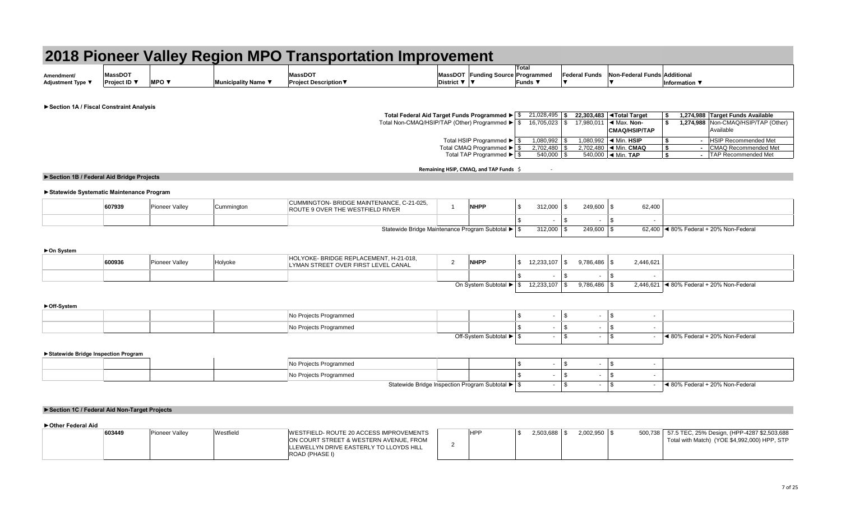| 2018 Pioneer Valley Region MPO Transportation Improvement |                                       |       |                     |                                                |                              |                                   |                                            |  |                                            |                      |
|-----------------------------------------------------------|---------------------------------------|-------|---------------------|------------------------------------------------|------------------------------|-----------------------------------|--------------------------------------------|--|--------------------------------------------|----------------------|
| Amendment/<br>Adjustment Type \                           | <b>MassDOT</b><br><b>Project ID</b> ▼ | MPO V | Municipality Name ▼ | <b>MassDOT</b><br><b>Project Description ▼</b> | District $\nabla$   $\nabla$ | MassDOT Funding Source Programmed | <b>Total</b><br>Funds $\blacktriangledown$ |  | Federal Funds Non-Federal Funds Additional | <b>Information ▼</b> |
| .                                                         |                                       |       |                     |                                                |                              |                                   |                                            |  |                                            |                      |

**►Section 1A / Fiscal Constraint Analysis**

| Total Federal Aid Target Funds Programmed ▶ S  | $21,028,495$ \$  |            | 22,303,483   ◀ Total Target              |  | 1,274,988 Target Funds Available    |
|------------------------------------------------|------------------|------------|------------------------------------------|--|-------------------------------------|
| Total Non-CMAQ/HSIP/TAP (Other) Programmed ▶ S | 16,705,023   \$  | 17.980.011 | ■ Max. Non-                              |  | 1,274,988 Non-CMAQ/HSIP/TAP (Other) |
|                                                |                  |            | <b>CMAQ/HSIP/TAP</b>                     |  | Available                           |
| Total HSIP Programmed ▶ S                      | $1.080.992$ \ \$ |            | 1,080,992 $\blacktriangleleft$ Min. HSIP |  | <b>HSIP Recommended Met</b>         |
| Total CMAQ Programmed ▶ S                      |                  |            | 2.702.480 $\blacksquare$ < Min. CMAQ     |  | <b>CMAQ Recommended Met</b>         |
| Total TAP Programmed ▶ S                       | 540,000 \$       |            | 540,000 $\blacktriangleleft$ Min. TAP    |  | <b>TAP Recommended Met</b>          |
|                                                |                  |            |                                          |  |                                     |

**Remaining HSIP, CMAQ, and TAP Funds** \$ -

### **►Section 1B / Federal Aid Bridge Projects**

#### **►Statewide Systematic Maintenance Program**

| 607939                                            | Pioneer Valley | Cummington | CUMMINGTON-BRIDGE MAINTENANCE, C-21-025.<br>ROUTE 9 OVER THE WESTFIELD RIVER |  | <b>NHPP</b> | 312.000    | 249.600 \$ | 62,400                                   |  |
|---------------------------------------------------|----------------|------------|------------------------------------------------------------------------------|--|-------------|------------|------------|------------------------------------------|--|
|                                                   |                |            |                                                                              |  |             |            |            |                                          |  |
| Statewide Bridge Maintenance Program Subtotal ▶ S |                |            |                                                                              |  | 312,000     | 249.600 \$ |            | 62.400   ◀ 80% Federal + 20% Non-Federal |  |

#### **►On System**

| 600936 | Pioneer Valley | Holyoke | HOLYOKE- BRIDGE REPLACEMENT, H-21-018,<br>LYMAN STREET OVER FIRST LEVEL CANAL | <b>NHPP</b>            | 12.233.107 \$ | 9.786.486 \$     | 2,446,621 |                                             |
|--------|----------------|---------|-------------------------------------------------------------------------------|------------------------|---------------|------------------|-----------|---------------------------------------------|
|        |                |         |                                                                               |                        |               |                  |           |                                             |
|        |                |         |                                                                               | On System Subtotal ▶ S | 12,233,107 \$ | $9.786.486$ \ \$ |           | 2,446,621   ◀ 80% Federal + 20% Non-Federal |

#### **►Off-System**

|  |  | No Projects Programmed |                                             |  |  |                                   |
|--|--|------------------------|---------------------------------------------|--|--|-----------------------------------|
|  |  | No Projects Programmed |                                             |  |  |                                   |
|  |  |                        | $Off$ Cyptom Cubtotal $\blacktriangleright$ |  |  | I ◀ 80% Federal + 20% Non-Federal |

#### **►Statewide Bridge Inspection Program**

|  |  | No Projects Programmed                              |  |  |  |                                 |
|--|--|-----------------------------------------------------|--|--|--|---------------------------------|
|  |  | No Projects Programmed                              |  |  |  |                                 |
|  |  | Statewide Bridge Inspection Program Subtotal ▶   \$ |  |  |  | ◀ 80% Federal + 20% Non-Federal |

#### **►Section 1C / Federal Aid Non-Target Projects**

#### **►Other Federal Aid**

|  | 603449 | <b>Pioneer Valley</b> | Westfield | <b>IWESTFIELD- ROUTE 20 ACCESS IMPROVEMENTS</b> | <b>IHPF</b> | 2,503,688 | 2,002,950 \$ | 500.738   57.5 TEC, 25% Design, (HPP-4287 \$2,503,688 |
|--|--------|-----------------------|-----------|-------------------------------------------------|-------------|-----------|--------------|-------------------------------------------------------|
|  |        |                       |           | ON COURT STREET & WESTERN AVENUE. FROM          |             |           |              | Total with Match) (YOE \$4,992,000) HPP, STP          |
|  |        |                       |           | <b>ILLEWELLYN DRIVE EASTERLY TO LLOYDS HILL</b> |             |           |              |                                                       |
|  |        |                       |           | <b>ROAD (PHASE I)</b>                           |             |           |              |                                                       |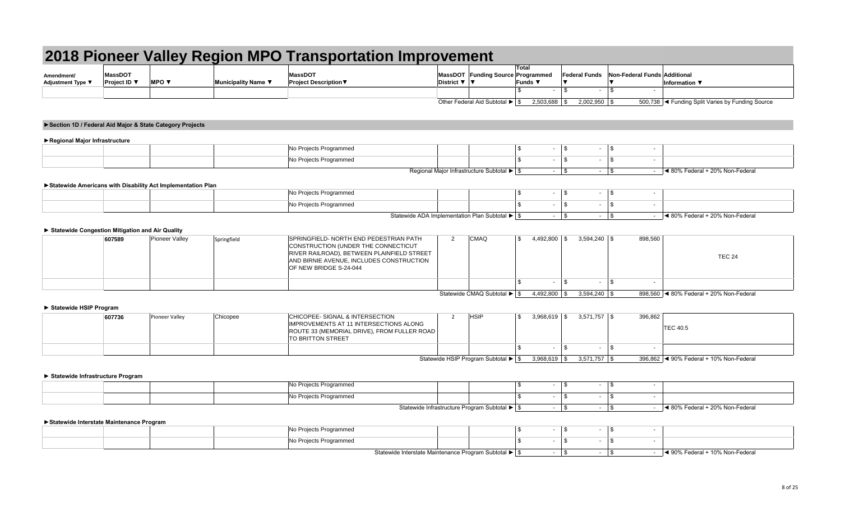|                          |                     |                                 |                     |                              |                     |                                   | Total   |           |                |                                            |                                                   |
|--------------------------|---------------------|---------------------------------|---------------------|------------------------------|---------------------|-----------------------------------|---------|-----------|----------------|--------------------------------------------|---------------------------------------------------|
| Amendment/               | <b>MassDOT</b>      |                                 |                     | <b>MassDOT</b>               |                     | MassDOT Funding Source Programmed |         |           |                | Federal Funds Non-Federal Funds Additional |                                                   |
| <b>Adjustment Type \</b> | <b>Project ID</b> ▼ | <b>MPO</b> $\blacktriangledown$ | Municipality Name ▼ | <b>Project Description ▼</b> | <b>District ▼ N</b> |                                   | Funds V |           |                |                                            | Information $\blacktriangledown$                  |
|                          |                     |                                 |                     |                              |                     |                                   |         |           |                |                                            |                                                   |
|                          |                     |                                 |                     |                              |                     |                                   |         |           |                |                                            |                                                   |
|                          |                     |                                 |                     |                              |                     | Other Federal Aid Subtotal ▶ S    |         | 2.503.688 | $2,002,950$ \$ |                                            | 500,738  ◀ Funding Split Varies by Funding Source |

#### **►Section 1D / Federal Aid Major & State Category Projects**

#### **►Regional Major Infrastructure**

| No Projects Programmed |                                                  |  |  |                                                      |
|------------------------|--------------------------------------------------|--|--|------------------------------------------------------|
| No Projects Programmed |                                                  |  |  |                                                      |
|                        | <b>Pogional Major Infractructure Subtotal LU</b> |  |  | 180% Federal + 20% Non-Federal<br>$\sim$ 0070 $\sim$ |

#### **►Statewide Americans with Disability Act Implementation Plan**

|                                                 |  |  | No Projects Programmed |  |                                                    |  |  |
|-------------------------------------------------|--|--|------------------------|--|----------------------------------------------------|--|--|
|                                                 |  |  | No Projects Programmed |  |                                                    |  |  |
| Statewide ADA Implementation Plan Subtotal ▶ \$ |  |  |                        |  | $\blacktriangleleft$ 80% Federal + 20% Non-Federal |  |  |

#### **► Statewide Congestion Mitigation and Air Quality**

| 607589                      | Pioneer Valley | Springfield | SPRINGFIELD- NORTH END PEDESTRIAN PATH<br>CONSTRUCTION (UNDER THE CONNECTICUT<br>RIVER RAILROAD), BETWEEN PLAINFIELD STREET<br>AND BIRNIE AVENUE, INCLUDES CONSTRUCTION<br>OF NEW BRIDGE S-24-044 |  | <b>CMAQ</b> | 4,492,800 \ \$ | $3.594.240$ \\$ | 898,560 | TEC 24                                    |
|-----------------------------|----------------|-------------|---------------------------------------------------------------------------------------------------------------------------------------------------------------------------------------------------|--|-------------|----------------|-----------------|---------|-------------------------------------------|
|                             |                |             |                                                                                                                                                                                                   |  |             |                |                 |         |                                           |
| Statewide CMAQ Subtotal ▶ S |                |             |                                                                                                                                                                                                   |  |             | 4,492,800 \$   | $3.594.240$ \\$ |         | 898,560   ◀ 80% Federal + 20% Non-Federal |

#### **► Statewide HSIP Program**

| 607736                              | Pioneer Valley | Chicopee | CHICOPEE- SIGNAL & INTERSECTION<br>IMPROVEMENTS AT 11 INTERSECTIONS ALONG<br>ROUTE 33 (MEMORIAL DRIVE), FROM FULLER ROAD<br><b>TO BRITTON STREET</b> | <b>HSIP</b> |                 | $3.968.619$ \$ | $3.571.757$ \\$ | 396.862                                   | <b>TEC 40.5</b> |
|-------------------------------------|----------------|----------|------------------------------------------------------------------------------------------------------------------------------------------------------|-------------|-----------------|----------------|-----------------|-------------------------------------------|-----------------|
|                                     |                |          |                                                                                                                                                      |             |                 |                |                 |                                           |                 |
| Statewide HSIP Program Subtotal ▶ S |                |          |                                                                                                                                                      |             | $3,968,619$ \\$ | $3,571,757$ \$ |                 | 396,862   ◀ 90% Federal + 10% Non-Federal |                 |

#### **► Statewide Infrastructure Program**

|                                                |  | No Projects Programmed |  |  |  |  |                                                    |
|------------------------------------------------|--|------------------------|--|--|--|--|----------------------------------------------------|
|                                                |  | No Projects Programmed |  |  |  |  |                                                    |
| Statewide Infrastructure Program Subtotal ▶ \$ |  |                        |  |  |  |  | $\blacktriangleleft$ 80% Federal + 20% Non-Federal |

**►Statewide Interstate Maintenance Program** 

|  |  | No Projects Programmed |                                                        |  |  |  |                                                         |
|--|--|------------------------|--------------------------------------------------------|--|--|--|---------------------------------------------------------|
|  |  | No Projects Programmed |                                                        |  |  |  |                                                         |
|  |  |                        | Statewide Interstate Maintenance Program Subtotal ▶ St |  |  |  | % Federal + 10% Non-Federal<br>$\blacktriangleleft$ 90% |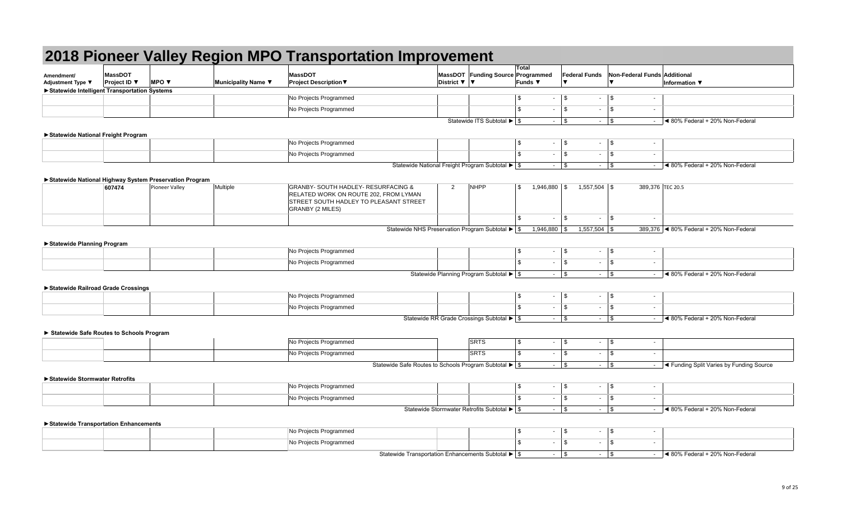#### **2018 Pioneer Valley Region MPO Transportation Improvement Total MassDOT**<br>Project ID ▼ **MassDOT MassDOT Federal Funds Amendment/ Funding Source Programmed Non-Federal Funds Additional Provided Provided Provided Properties Properties Properties Properties Properties Project Description**▼ **District** ▼ **Funds** ▼ **Adjustment Type ▼ Information ▼**  ▼ ▼ ▼ **►Statewide Intelligent Transportation Systems** No Projects Programmed and the set of the set of the set of the set of the set of the set of the set of the set of the set of the set of the set of the set of the set of the set of the set of the set of the set of the set No Projects Programmed the set of the set of the set of the set of the set of the set of the set of the set of the set of the set of the set of the set of the set of the set of the set of the set of the set of the set of t Statewide ITS Subtotal ▶ \$ 60% Federal + 20% Non-Federal  $\text{\$} \qquad \text{\$} \qquad \text{\$} \qquad \text{\$} \qquad \text{\$} \qquad \text{\$}$ **►Statewide National Freight Program** No Projects Programmed and the set of the set of the set of the set of the set of the set of the set of the set of the set of the set of the set of the set of the set of the set of the set of the set of the set of the set No Projects Programmed and the set of the set of the set of the set of the set of the set of the set of the set of the set of the set of the set of the set of the set of the set of the set of the set of the set of the set Statewide National Freight Program Subtotal ▶ \$ - \$ - 180% Federal + 20% Non-Federal \$ - \$ - \$ - **►Statewide National Highway System Preservation Program 607474** Pioneer Valley Multiple GRANBY- SOUTH HADLEY- RESURFACING & 2 NHPP \$ 1,946,880 \$ 1,557,504 \$ 389,376 TEC 20.5 RELATED WORK ON ROUTE 202, FROM LYMAN STREET SOUTH HADLEY TO PLEASANT STREET GRANBY (2 MILES)  $\text{\$} \qquad \text{\$} \qquad \text{\$} \qquad \text{\$} \qquad \text{\$} \qquad \text{\$}$ Statewide NHS Preservation Program Subtotal ► \$ 1,946,880 \$ 1,557,504 \$ 389,376 4 80% Federal + 20% Non-Federal **►Statewide Planning Program** No Projects Programmed \$ - \$ - \$ - No Projects Programmed and the set of the set of the set of the set of the set of the set of the set of the set of the set of the set of the set of the set of the set of the set of the set of the set of the set of the set Statewide Planning Program Subtotal ▶ \$ - \$ - \$ - 480% Federal + 20% Non-Federal  $\text{\$} \qquad \text{\$} \qquad \text{\$} \qquad \text{\$} \qquad \text{\$} \qquad \text{\$}$ **►Statewide Railroad Grade Crossings** No Projects Programmed and the set of the set of the set of the set of the set of the set of the set of the set of the set of the set of the set of the set of the set of the set of the set of the set of the set of the set No Projects Programmed the set of the set of the set of the set of the set of the set of the set of the set of the set of the set of the set of the set of the set of the set of the set of the set of the set of the set of t Statewide RR Grade Crossings Subtotal ▶ \$ \$ \$ 46.8% Federal + 20% Non-Federal  $\text{\$} \qquad \text{\$} \qquad \text{\$} \qquad \text{\$} \qquad \text{\$} \qquad \text{\$}$ **► Statewide Safe Routes to Schools Program**  $\mathbf{L}$ No Projects Programmed SRTS \$ - \$ - \$ -

| <b>No Projects Programmed</b> | 15R I S                                               |  |  |                                            |
|-------------------------------|-------------------------------------------------------|--|--|--------------------------------------------|
| No Projects Programmed        | $_{\text{onre}}$<br>5R I 5                            |  |  |                                            |
|                               | Statewide Safe Routes to Schools Program Subtotal ▶ S |  |  | I ◀ Funding Split Varies by Funding Source |

#### **►Statewide Stormwater Retrofits**

|  |  | No Projects Programmed |                                                     |  |  |                                 |
|--|--|------------------------|-----------------------------------------------------|--|--|---------------------------------|
|  |  | No Projects Programmed |                                                     |  |  |                                 |
|  |  |                        | tewide Stormwater Retrofits Subtotal ▶ ॑ :<br>State |  |  | ◀ 80% Federal + 20% Non-Federal |

#### **►Statewide Transportation Enhancements**

| No Projects Programmed |                                                                                        |  |  |                                                    |
|------------------------|----------------------------------------------------------------------------------------|--|--|----------------------------------------------------|
| No Projects Programmed |                                                                                        |  |  |                                                    |
|                        | Statewide Transportation Enhancements Subtotal ▶ Statewide Transportation Enhancements |  |  | $\blacktriangleleft$ 80% Federal + 20% Non-Federal |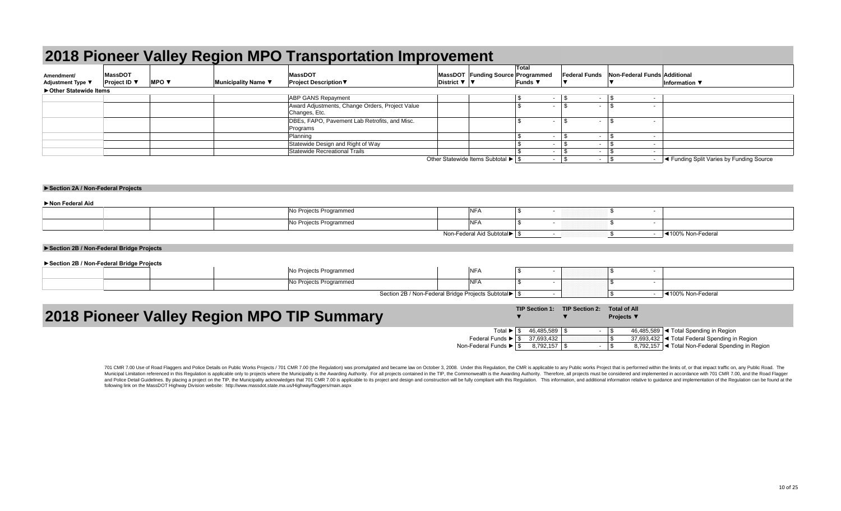|                          |                |                                 |                     |                                                 |              |                                   | Total                      |                                            |                                          |
|--------------------------|----------------|---------------------------------|---------------------|-------------------------------------------------|--------------|-----------------------------------|----------------------------|--------------------------------------------|------------------------------------------|
| Amendment/               | <b>MassDOT</b> |                                 |                     | <b>MassDOT</b>                                  |              | MassDOT Funding Source Programmed |                            | Federal Funds Non-Federal Funds Additional |                                          |
| <b>Adjustment Type ▼</b> | Project ID ▼   | <b>MPO</b> $\blacktriangledown$ | Municipality Name ▼ | <b>Project Description ▼</b>                    | District ▼ ▼ |                                   | Funds $\blacktriangledown$ |                                            | Information ▼                            |
| ▶ Other Statewide Items  |                |                                 |                     |                                                 |              |                                   |                            |                                            |                                          |
|                          |                |                                 |                     | <b>ABP GANS Repayment</b>                       |              |                                   |                            |                                            |                                          |
|                          |                |                                 |                     | Award Adjustments, Change Orders, Project Value |              |                                   |                            |                                            |                                          |
|                          |                |                                 |                     | Changes, Etc.                                   |              |                                   |                            |                                            |                                          |
|                          |                |                                 |                     | DBEs, FAPO, Pavement Lab Retrofits, and Misc.   |              |                                   |                            |                                            |                                          |
|                          |                |                                 |                     | Programs                                        |              |                                   |                            |                                            |                                          |
|                          |                |                                 |                     | Planning                                        |              |                                   |                            |                                            |                                          |
|                          |                |                                 |                     | Statewide Design and Right of Way               |              |                                   |                            |                                            |                                          |
|                          |                |                                 |                     | Statewide Recreational Trails                   |              |                                   |                            |                                            |                                          |
|                          |                |                                 |                     |                                                 |              | Other Statewide Items Subtotal L  |                            |                                            | A Funding Split Varies by Funding Source |

 $\text{\$} \qquad \text{\$} \qquad \text{\$} \qquad \text{\$} \qquad \text{\$} \qquad \text{\$}$ Other Statewide Items Subtotal ► → Funding Split Varies by Funding Source

#### **►Section 2A / Non-Federal Projects**

**►Non Federal Aid**

|  |  | No Projects Programmed | <b>NFA</b>                   |  |                       |
|--|--|------------------------|------------------------------|--|-----------------------|
|  |  | No Projects Programmed | <b>NFA</b>                   |  |                       |
|  |  |                        | Non Eodoral Aid Subtotal L C |  | $-4100\%$ Non Enderal |

#### $\texttt{\$}$  -  $\texttt{\$}$  -  $\texttt{\$}$ Non-Federal Aid Subtotal► § - \$ - < 100% Non-Federal

#### **►Section 2B / Non-Federal Bridge Projects**

| ► Section 2B / Non-Federal Bridge Projects |                        |                                                      |  |                     |
|--------------------------------------------|------------------------|------------------------------------------------------|--|---------------------|
|                                            | No Projects Programmed | <b>NFA</b>                                           |  |                     |
|                                            | No Projects Programmed | <b>NFA</b>                                           |  |                     |
|                                            |                        | Section 2B / Non-Federal Bridge Projects Subtotal▶ S |  | I ◀100% Non-Federal |

# **2018 Pioneer Valley Region MPO TIP Summary**

|                                                              | TIP Section 1:  | TIP Section 2: |      | <b>Total of All</b><br><b>Projects</b> ▼ |                                                    |
|--------------------------------------------------------------|-----------------|----------------|------|------------------------------------------|----------------------------------------------------|
| Total $\blacktriangleright$ S                                | 46.485.589 \ \$ | $\sim$         | - \$ |                                          | 46.485.589   ◀ Total Spending in Region            |
| Federal Funds $\blacktriangleright$ $\blacktriangleright$ \$ | 37.693.432      |                |      |                                          | 37,693,432   ◀ Total Federal Spending in Region    |
| Non-Federal Funds $\blacktriangleright$ $\mid$ \$            | $8.792.157$ S   | $\sim$         | -S   |                                          | 8,792,157   ◀ Total Non-Federal Spending in Region |

701 CMR 7.00 Use of Road Flaggers and Police Details on Public Works Projects / 701 CMR 7.00 (the Regulation) was promulgated and became law on October 3, 2008. Under this Regulation, the CMR is applicable to any Public wo Municipal Limitation referenced in this Regulation is applicable only to projects where the Municipality is the Awarding Authority. For all projects contained in the TIP, the Commonwealth is the Awarding Authority. Therefo and Police Detail Guidelines. By placing a project on the TIP, the Municipality acknowledges that 701 CMR 7.00 is applicable to its project and design and construction will be fully compliant with this Regulation. This inf following link on the MassDOT Highway Division website: http://www.massdot.state.ma.us/Highway/flaggers/main.aspx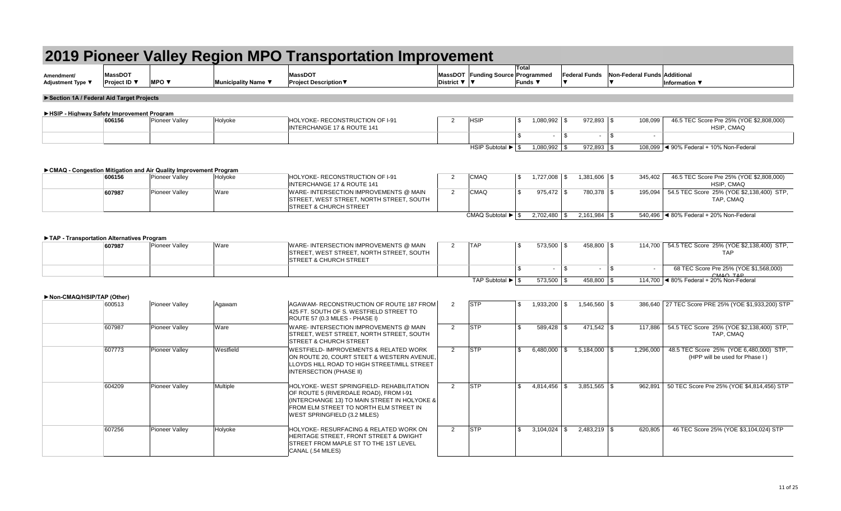|                                           |                                |                                                                  |                            | 2019 Pioneer Valley Region MPO Transportation Improvement                                                                                                                                                   |                |                                               |                         |                            |                      |                  |                                     |                                                                           |
|-------------------------------------------|--------------------------------|------------------------------------------------------------------|----------------------------|-------------------------------------------------------------------------------------------------------------------------------------------------------------------------------------------------------------|----------------|-----------------------------------------------|-------------------------|----------------------------|----------------------|------------------|-------------------------------------|---------------------------------------------------------------------------|
| Amendment/<br>Adjustment Type ▼           | <b>MassDOT</b><br>Proiect ID ▼ | <b>MPO</b> $\blacktriangledown$                                  | <b>Municipality Name ▼</b> | <b>MassDOT</b><br><b>Project Description ▼</b>                                                                                                                                                              | District ▼ V   | MassDOT Funding Source Programmed             | Total                   | Funds $\blacktriangledown$ | <b>Federal Funds</b> |                  | <b>Non-Federal Funds Additional</b> | Information ▼                                                             |
| Section 1A / Federal Aid Target Projects  |                                |                                                                  |                            |                                                                                                                                                                                                             |                |                                               |                         |                            |                      |                  |                                     |                                                                           |
| HSIP - Highway Safety Improvement Program |                                |                                                                  |                            |                                                                                                                                                                                                             |                |                                               |                         |                            |                      |                  |                                     |                                                                           |
|                                           | 606156                         | Pioneer Vallev                                                   | Holyoke                    | HOLYOKE- RECONSTRUCTION OF I-91<br><b>INTERCHANGE 17 &amp; ROUTE 141</b>                                                                                                                                    | 2              | <b>HSIP</b>                                   | $\mathbf{s}$            | $1.080.992$ \\$            |                      | $972.893$ \$     | 108.099                             | 46.5 TEC Score Pre 25% (YOE \$2,808,000)<br>HSIP. CMAQ                    |
|                                           |                                |                                                                  |                            |                                                                                                                                                                                                             |                |                                               | $\mathbf{s}$            | $\sim$                     | \$                   | $\sim$           | $\sqrt{3}$<br>$\sim$                |                                                                           |
|                                           |                                |                                                                  |                            |                                                                                                                                                                                                             |                | HSIP Subtotal $\blacktriangleright$ $\mid$ \$ |                         | $1,080,992$ \$             |                      | 972,893 \$       |                                     | 108,099 < 90% Federal + 10% Non-Federal                                   |
|                                           |                                | CMAQ - Congestion Mitigation and Air Quality Improvement Program |                            |                                                                                                                                                                                                             |                |                                               |                         |                            |                      |                  |                                     |                                                                           |
|                                           | 606156                         | <b>Pioneer Valley</b>                                            | Holyoke                    | HOLYOKE- RECONSTRUCTION OF I-91<br>INTERCHANGE 17 & ROUTE 141                                                                                                                                               | 2              | <b>CMAQ</b>                                   | $\mathbf{\hat{s}}$      | $1,727,008$ \$             |                      | $1,381,606$ \$   | 345,402                             | 46.5 TEC Score Pre 25% (YOE \$2,808,000)<br>HSIP. CMAQ                    |
|                                           | 607987                         | <b>Pioneer Valley</b>                                            | Ware                       | WARE- INTERSECTION IMPROVEMENTS @ MAIN<br>STREET, WEST STREET, NORTH STREET, SOUTH<br><b>STREET &amp; CHURCH STREET</b>                                                                                     | $\overline{2}$ | <b>CMAQ</b>                                   | $\overline{\mathbf{s}}$ | $975,472$ \$               |                      | 780,378 \$       | 195,094                             | 54.5 TEC Score 25% (YOE \$2,138,400) STP,<br>TAP. CMAQ                    |
|                                           |                                |                                                                  |                            |                                                                                                                                                                                                             |                | CMAQ Subtotal ▶ S                             |                         | $2.702.480$ \ \$           |                      | $2.161.984$ \$   |                                     | 540.496 <4 80% Federal + 20% Non-Federal                                  |
|                                           |                                |                                                                  |                            |                                                                                                                                                                                                             |                |                                               |                         |                            |                      |                  |                                     |                                                                           |
| TAP - Transportation Alternatives Program | 607987                         | <b>Pioneer Valley</b>                                            | Ware                       | WARE- INTERSECTION IMPROVEMENTS @ MAIN                                                                                                                                                                      | 2              | <b>TAP</b>                                    | \$                      | 573,500 \$                 |                      | 458,800 \$       | 114,700                             | 54.5 TEC Score 25% (YOE \$2,138,400) STP,                                 |
|                                           |                                |                                                                  |                            | STREET. WEST STREET. NORTH STREET. SOUTH<br><b>STREET &amp; CHURCH STREET</b>                                                                                                                               |                |                                               |                         |                            |                      |                  |                                     | <b>TAP</b>                                                                |
|                                           |                                |                                                                  |                            |                                                                                                                                                                                                             |                |                                               | $\overline{\mathbb{S}}$ | $\mathbf{r}$               | \$                   | $\sim$           | <b>S</b>                            | 68 TEC Score Pre 25% (YOE \$1,568,000)<br>CMAO TAP                        |
|                                           |                                |                                                                  |                            |                                                                                                                                                                                                             |                | TAP Subtotal $\blacktriangleright$ $\mid$ \$  |                         | 573,500 \$                 |                      | 458.800 \$       |                                     | 114.700 4 80% Federal + 20% Non-Federal                                   |
| Non-CMAQ/HSIP/TAP (Other)                 |                                |                                                                  |                            |                                                                                                                                                                                                             |                |                                               |                         |                            |                      |                  |                                     |                                                                           |
|                                           | 600513                         | <b>Pioneer Valley</b>                                            | Agawam                     | AGAWAM- RECONSTRUCTION OF ROUTE 187 FROM<br>425 FT. SOUTH OF S. WESTFIELD STREET TO<br>ROUTE 57 (0.3 MILES - PHASE I)                                                                                       | 2              | <b>STP</b>                                    | \$                      | $1,933,200$ \$             |                      | $1,546,560$ \ \$ |                                     | 386,640   27 TEC Score PRE 25% (YOE \$1,933,200) STP                      |
|                                           | 607987                         | <b>Pioneer Valley</b>                                            | Ware                       | WARE- INTERSECTION IMPROVEMENTS @ MAIN<br>STREET, WEST STREET, NORTH STREET, SOUTH<br><b>STREET &amp; CHURCH STREET</b>                                                                                     | 2              | <b>STP</b>                                    | $\mathbb{S}$            | 589,428 \$                 |                      | 471,542 \$       | 117,886                             | 54.5 TEC Score 25% (YOE \$2,138,400) STP,<br>TAP. CMAQ                    |
|                                           | 607773                         | <b>Pioneer Valley</b>                                            | Westfield                  | <b>WESTFIELD- IMPROVEMENTS &amp; RELATED WORK</b><br>ON ROUTE 20. COURT STEET & WESTERN AVENUE.<br>LLOYDS HILL ROAD TO HIGH STREET/MILL STREET<br><b>INTERSECTION (PHASE II)</b>                            | 2              | <b>STP</b>                                    | $\mathbb{S}$            | $6,480,000$ \\$            |                      | $5,184,000$ \ \$ | 1,296,000                           | 48.5 TEC Score 25% (YOE 6,480,000) STP,<br>(HPP will be used for Phase I) |
|                                           | 604209                         | <b>Pioneer Vallev</b>                                            | <b>Multiple</b>            | HOLYOKE-WEST SPRINGFIELD-REHABILITATION<br>OF ROUTE 5 (RIVERDALE ROAD), FROM I-91<br>(INTERCHANGE 13) TO MAIN STREET IN HOLYOKE &<br>FROM ELM STREET TO NORTH ELM STREET IN<br>WEST SPRINGFIELD (3.2 MILES) | 2              | <b>STP</b>                                    | $\mathcal{L}$           |                            |                      |                  | 962.891                             | 50 TEC Score Pre 25% (YOE \$4.814.456) STP                                |
|                                           | 607256                         | <b>Pioneer Valley</b>                                            | Holyoke                    | HOLYOKE- RESURFACING & RELATED WORK ON<br>HERITAGE STREET, FRONT STREET & DWIGHT<br>STREET FROM MAPLE ST TO THE 1ST LEVEL<br>CANAL (.54 MILES)                                                              | $\overline{2}$ | <b>STP</b>                                    | \$.                     | $3,104,024$ \$             |                      |                  | 620,805                             | 46 TEC Score 25% (YOE \$3,104,024) STP                                    |

#### 11 of 25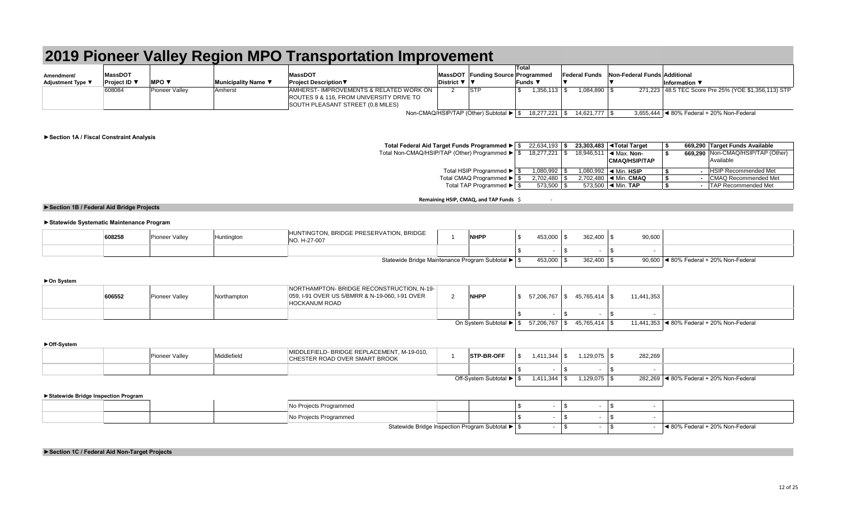| <b>2019 Pioneer Valley Region MPO Transportation Improvement</b> |                |                                 |                     |                                                                                                                          |                            |                                        |               |                      |                              |                                                      |  |
|------------------------------------------------------------------|----------------|---------------------------------|---------------------|--------------------------------------------------------------------------------------------------------------------------|----------------------------|----------------------------------------|---------------|----------------------|------------------------------|------------------------------------------------------|--|
| Amendment/                                                       | <b>MassDOT</b> |                                 |                     | <b>MassDOT</b>                                                                                                           |                            | MassDOT Funding Source Programmed      | ∣Total        | <b>Federal Funds</b> | Non-Federal Funds Additional |                                                      |  |
| <b>Adjustment Type \</b>                                         | Proiect ID ▼   | <b>MPO</b> $\blacktriangledown$ | Municipality Name ▼ | <b>Project Description ▼</b>                                                                                             | District $\nabla$ $\nabla$ |                                        | lFunds ▼      |                      |                              | Information $\blacktriangledown$                     |  |
|                                                                  | 608084         | <b>Pioneer Valley</b>           | Amherst             | AMHERST- IMPROVEMENTS & RELATED WORK ON<br>ROUTES 9 & 116, FROM UNIVERSITY DRIVE TO<br>SOUTH PLEASANT STREET (0.8 MILES) |                            | <b>STP</b>                             | 1,356,113     | $1.084.890$ \$       |                              | 271,223 48.5 TEC Score Pre 25% (YOE \$1,356,113) STP |  |
|                                                                  |                |                                 |                     |                                                                                                                          |                            | Non-CMAQ/HSIP/TAP (Other) Subtotal ▶ S | 18,277,221 \$ | 14,621,777 \$        |                              | 3,655,444   ◀ 80% Federal + 20% Non-Federal          |  |

#### **►Section 1A / Fiscal Constraint Analysis**

| Total Federal Aid Target Funds Programmed ▶   \$ | $22,634,193$ \$ |  | 23,303,483   ◀ Total Target               |  | 669,290 Target Funds Available    |
|--------------------------------------------------|-----------------|--|-------------------------------------------|--|-----------------------------------|
| Total Non-CMAQ/HSIP/TAP (Other) Programmed ▶ S   | 18,277,221   \$ |  | 18,946,511 $\blacktriangleleft$ Max. Non- |  | 669,290 Non-CMAQ/HSIP/TAP (Other) |
|                                                  |                 |  | <b>CMAQ/HSIP/TAP</b>                      |  | Available                         |
| Total HSIP Programmed ▶ S                        | 1.080.992       |  | 1.080.992 $\blacktriangleleft$ Min. HSIP  |  | <b>HSIP Recommended Met</b>       |
| Total CMAQ Programmed ▶ S                        |                 |  | 2,702,480 $\blacktriangleleft$ Min. CMAQ  |  | - CMAQ Recommended Met            |
| Total TAP Programmed ▶ S                         | $573,500$ \ \$  |  | 573,500 $\blacktriangleleft$ Min. TAP     |  | <b>TAP Recommended Met</b>        |

**Remaining HSIP, CMAQ, and TAP Funds** \$ -

### **►Section 1B / Federal Aid Bridge Projects**

### **►Statewide Systematic Maintenance Program**

| 608258 | Pioneer Valley | ntinaton | HUNTINGTON, BRIDGE PRESERVATION, BRIDGE<br>$H-27-007$ | <b>NHPP</b>                                   | 453,000 | 362,400 | 90,600 |                                                    |
|--------|----------------|----------|-------------------------------------------------------|-----------------------------------------------|---------|---------|--------|----------------------------------------------------|
|        |                |          |                                                       |                                               |         |         |        |                                                    |
|        |                |          |                                                       | ewide Bridge Maintenance Program Subtotal ▶ S | 453,000 | 362,400 | 90,600 | $\blacktriangleleft$ 80% Federal + 20% Non-Federal |

#### **►On System**

| 606552 | <b>Pioneer Valley</b> | Northampton | NORTHAMPTON-BRIDGE RECONSTRUCTION, N-19-<br>059, I-91 OVER US 5/BMRR & N-19-060, I-91 OVER<br>HOCKANUM ROAD | <b>NHPP</b> |                        | 57.206.767 S  | 45.765.414   \$ | 11,441,353 |                                              |  |
|--------|-----------------------|-------------|-------------------------------------------------------------------------------------------------------------|-------------|------------------------|---------------|-----------------|------------|----------------------------------------------|--|
|        |                       |             |                                                                                                             |             |                        |               |                 |            |                                              |  |
|        |                       |             |                                                                                                             |             | On System Subtotal ▶ S | 57,206,767 \$ | 45,765,414 \$   |            | 11,441,353   ◀ 80% Federal + 20% Non-Federal |  |

#### **►Off-System**

| Pioneer Valley | Middlefield | MIDDLEFIELD- BRIDGE REPLACEMENT, M-19-010,<br>CHESTER ROAD OVER SMART BROOK | <b>STP-BR-OFF</b>        | $1.411.344$ \\$ | 1,129,075 \$ | 282,269 |                                           |
|----------------|-------------|-----------------------------------------------------------------------------|--------------------------|-----------------|--------------|---------|-------------------------------------------|
|                |             |                                                                             |                          |                 |              |         |                                           |
|                |             |                                                                             | Off-System Subtotal ▶ \$ | $1,411,344$ \\$ | 1,129,075 \$ |         | 282,269   ◀ 80% Federal + 20% Non-Federal |

#### **►Statewide Bridge Inspection Program**

|  |  | No Projects Programmed |                                                  |  |  |                                                    |
|--|--|------------------------|--------------------------------------------------|--|--|----------------------------------------------------|
|  |  | No Projects Programmed |                                                  |  |  |                                                    |
|  |  |                        | Statewide Bridge Inspection Program Subtotal ▶ S |  |  | $\blacktriangleleft$ 80% Federal + 20% Non-Federal |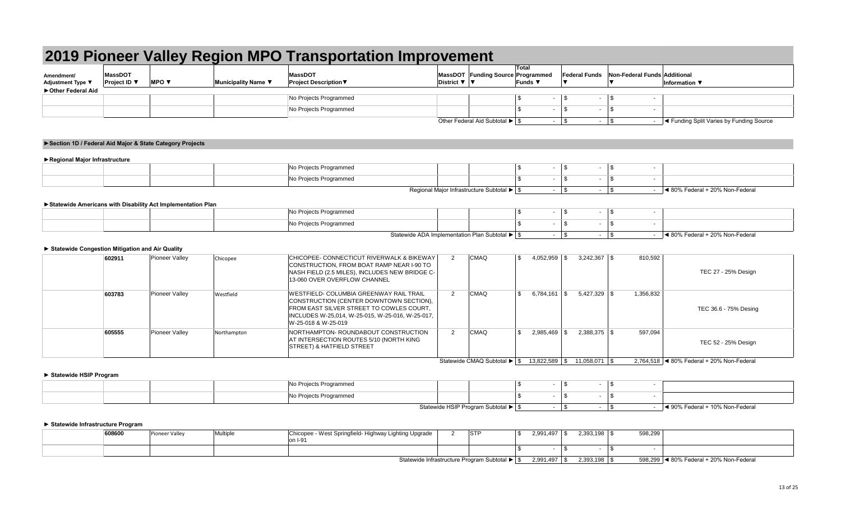|                          |                |                                 |                     |                              |                            |                                   | ∣Total  |  |                                            |                                            |
|--------------------------|----------------|---------------------------------|---------------------|------------------------------|----------------------------|-----------------------------------|---------|--|--------------------------------------------|--------------------------------------------|
| Amendment/               | <b>MassDOT</b> |                                 |                     | <b>MassDOT</b>               |                            | MassDOT Funding Source Programmed |         |  | Federal Funds Non-Federal Funds Additional |                                            |
| <b>Adjustment Type \</b> | Project ID ▼   | <b>MPO</b> $\blacktriangledown$ | Municipality Name ▼ | <b>Project Description ▼</b> | District $\nabla$ $\nabla$ |                                   | Funds ▼ |  |                                            | Information $\blacktriangledown$           |
| ▶ Other Federal Aid      |                |                                 |                     |                              |                            |                                   |         |  |                                            |                                            |
|                          |                |                                 |                     | No Projects Programmed       |                            |                                   |         |  |                                            |                                            |
|                          |                |                                 |                     | No Projects Programmed       |                            |                                   |         |  |                                            |                                            |
|                          |                |                                 |                     |                              |                            | Other Federal Aid Subtotal ▶ S    |         |  |                                            | I ◀ Funding Split Varies by Funding Source |

#### **►Section 1D / Federal Aid Major & State Category Projects**

#### **►Regional Major Infrastructure**

| INo Projects Programmed                                                                     |  |  |  |
|---------------------------------------------------------------------------------------------|--|--|--|
| No Projects Programmed                                                                      |  |  |  |
| $D = 1$ and $M = 1$ and $M = 1$ and $M = 1$ and $M = 1$ and $M = 1$ and $M = 1$ and $M = 1$ |  |  |  |

Regional Major Infrastructure Subtotal ▶ | \$ - | \$ - | ◀ 80% Federal + 20% Non-Federal

#### **►Statewide Americans with Disability Act Implementation Plan**

|  | INo Projects Programmed |                                              |  |  |
|--|-------------------------|----------------------------------------------|--|--|
|  | No Projects Programmed  |                                              |  |  |
|  |                         | المارد والمتحامين والمتحدث والمتحدث والمتحدث |  |  |

Statewide ADA Implementation Plan Subtotal ▶ | \$ - | \$ - | ◆ 80% Federal + 20% Non-Federal

#### **► Statewide Congestion Mitigation and Air Quality**

| 602911 | <b>Pioneer Valley</b> | Chicopee    | CHICOPEE- CONNECTICUT RIVERWALK & BIKEWAY<br>CONSTRUCTION. FROM BOAT RAMP NEAR I-90 TO<br>NASH FIELD (2.5 MILES), INCLUDES NEW BRIDGE C-<br>13-060 OVER OVERFLOW CHANNEL                                   | <b>CMAQ</b>                 | 4,052,959                       |                | 810,592   | TEC 27 - 25% Design                                          |
|--------|-----------------------|-------------|------------------------------------------------------------------------------------------------------------------------------------------------------------------------------------------------------------|-----------------------------|---------------------------------|----------------|-----------|--------------------------------------------------------------|
| 603783 | <b>Pioneer Valley</b> | Westfield   | IWESTFIELD- COLUMBIA GREENWAY RAIL TRAIL<br>CONSTRUCTION (CENTER DOWNTOWN SECTION),<br>FROM EAST SILVER STREET TO COWLES COURT,<br>INCLUDES W-25,014, W-25-015, W-25-016, W-25-017,<br>W-25-018 & W-25-019 | <b>CMAQ</b>                 | 6.784.161                       |                | 1.356.832 | TEC 36.6 - 75% Desing                                        |
| 605555 | <b>Pioneer Valley</b> | Northampton | INORTHAMPTON-ROUNDABOUT CONSTRUCTION<br>AT INTERSECTION ROUTES 5/10 (NORTH KING<br><b>STREET) &amp; HATFIELD STREET</b>                                                                                    | CMAQ                        | 2,985,469                       | $2.388.375$ \$ | 597.094   | TEC 52 - 25% Desian                                          |
|        |                       |             |                                                                                                                                                                                                            | Statewide CMAQ Subtotal ▶ S | 13,822,589   \$ 11,058,071   \$ |                |           | 2.764.518 $\blacktriangleleft$ 80% Federal + 20% Non-Federal |

#### **► Statewide HSIP Program**

|  | No Projects Programmed |                                        |  |                                 |
|--|------------------------|----------------------------------------|--|---------------------------------|
|  | No Projects Programmed |                                        |  |                                 |
|  |                        | Statewide HSIP Program Subtotal ▶   \$ |  | ■ 90% Federal + 10% Non-Federal |

#### **► Statewide Infrastructure Program**

| 608600 | Pioneer Valley | Multiple | Chicopee - West Springfield- Highway Lighting Upgrade | <b>STF</b>                                                                                            | 2,991,497 | 2,393,198             | 598,299                                                              |
|--------|----------------|----------|-------------------------------------------------------|-------------------------------------------------------------------------------------------------------|-----------|-----------------------|----------------------------------------------------------------------|
|        |                |          |                                                       |                                                                                                       |           |                       |                                                                      |
|        |                |          |                                                       | $O(t-t)$ is the structure $D(t)$ and $O(t)$ is $\begin{bmatrix} 0 & 0 & 0 \\ 0 & 0 & 0 \end{bmatrix}$ |           | $0.000100$ $^{\circ}$ | $F(00, 000)$ 4.000 $F_{\text{c}}$ dend : 000 New $F_{\text{c}}$ dend |

Statewide Infrastructure Program Subtotal ▶ | \$2,991,497 | \$2,393,198 | \$598,299 | ◀ 80% Federal + 20% Non-Federal +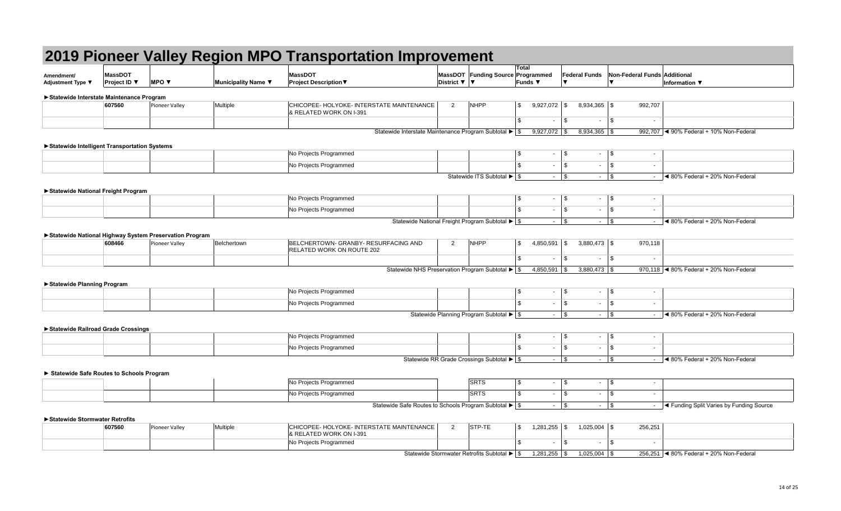| 2019 Pioneer Valley Region MPO Transportation Improvement |                                                |                                                                          |                     |                                                                      |                            |                                                  | Total                      |                                                 |                                        |                                                     |
|-----------------------------------------------------------|------------------------------------------------|--------------------------------------------------------------------------|---------------------|----------------------------------------------------------------------|----------------------------|--------------------------------------------------|----------------------------|-------------------------------------------------|----------------------------------------|-----------------------------------------------------|
| Amendment/<br>Adjustment Type ▼                           | <b>MassDOT</b><br>Project ID ▼                 | <b>MPO</b> $\blacktriangledown$                                          | Municipality Name ▼ | <b>MassDOT</b><br><b>Project Description ▼</b>                       | District $\nabla$ $\nabla$ | MassDOT Funding Source Programmed                | Funds $\blacktriangledown$ | <b>Federal Funds</b><br>$\overline{\mathbf{v}}$ | Non-Federal Funds Additional<br>IV     | Information ▼                                       |
| Statewide Interstate Maintenance Program                  |                                                |                                                                          |                     |                                                                      |                            |                                                  |                            |                                                 |                                        |                                                     |
|                                                           | 607560                                         | Pioneer Valley                                                           | Multiple            | CHICOPEE- HOLYOKE- INTERSTATE MAINTENANCE<br>& RELATED WORK ON I-391 | 2                          | <b>NHPP</b>                                      | \$<br>$9,927,072$ \$       | $8,934,365$ \$                                  | 992,707                                |                                                     |
|                                                           |                                                |                                                                          |                     |                                                                      |                            |                                                  | \$<br>$\sim$               | l \$<br>$\sim$                                  | $\sqrt{3}$<br>$\overline{\phantom{a}}$ |                                                     |
|                                                           |                                                |                                                                          |                     | Statewide Interstate Maintenance Program Subtotal ▶ S                |                            |                                                  | $9,927,072$ \$             | 8,934,365 \$                                    |                                        | 992,707 < 90% Federal + 10% Non-Federal             |
|                                                           | ▶ Statewide Intelligent Transportation Systems |                                                                          |                     |                                                                      |                            |                                                  |                            |                                                 |                                        |                                                     |
|                                                           |                                                |                                                                          |                     | No Projects Programmed                                               |                            |                                                  | \$                         | $-1$ \$<br>$\sim$                               | l \$<br>$\blacksquare$                 |                                                     |
|                                                           |                                                |                                                                          |                     | No Projects Programmed                                               |                            |                                                  | \$<br>$\sim$               | $\sqrt{3}$<br>$\blacksquare$                    | l \$<br>$\blacksquare$                 |                                                     |
|                                                           |                                                |                                                                          |                     |                                                                      |                            | Statewide ITS Subtotal ▶ S                       |                            | $-1$ \$<br>$\sim$                               | $\sqrt{3}$                             | $ \blacktriangleleft$ 80% Federal + 20% Non-Federal |
|                                                           | ▶ Statewide National Freight Program           |                                                                          |                     |                                                                      |                            |                                                  |                            |                                                 |                                        |                                                     |
|                                                           |                                                |                                                                          |                     | No Projects Programmed                                               |                            |                                                  | \$<br>$\sim$               | $\sqrt{3}$<br>$\sim$                            | l \$<br>$\blacksquare$                 |                                                     |
|                                                           |                                                |                                                                          |                     | No Projects Programmed                                               |                            |                                                  | $\mathbf{s}$<br>$\sim$     | $\sqrt{3}$<br>$\sim$                            | ا \$<br>$\blacksquare$                 |                                                     |
|                                                           |                                                |                                                                          |                     |                                                                      |                            | Statewide National Freight Program Subtotal ▶ \$ |                            | $-1$ \$                                         | $-$ \$                                 | $ \blacktriangleleft$ 80% Federal + 20% Non-Federal |
|                                                           |                                                |                                                                          |                     |                                                                      |                            |                                                  |                            |                                                 |                                        |                                                     |
|                                                           | 608466                                         | Statewide National Highway System Preservation Program<br>Pioneer Valley | Belchertown         | BELCHERTOWN- GRANBY- RESURFACING AND                                 | $\overline{2}$             | <b>NHPP</b>                                      | \$<br>$4,850,591$ \$       | $3,880,473$ \$                                  | 970,118                                |                                                     |
|                                                           |                                                |                                                                          |                     | RELATED WORK ON ROUTE 202                                            |                            |                                                  | $\overline{\mathbb{S}}$    | l \$                                            | l \$                                   |                                                     |
|                                                           |                                                |                                                                          |                     |                                                                      |                            |                                                  | $\sim$                     | $\sim$                                          | $\blacksquare$                         |                                                     |
|                                                           |                                                |                                                                          |                     | Statewide NHS Preservation Program Subtotal ▶ \$                     |                            |                                                  | $4,850,591$ \$             | $3,880,473$ \$                                  |                                        | 970,118 < 80% Federal + 20% Non-Federal             |
| ▶ Statewide Planning Program                              |                                                |                                                                          |                     |                                                                      |                            |                                                  |                            |                                                 |                                        |                                                     |
|                                                           |                                                |                                                                          |                     | No Projects Programmed                                               |                            |                                                  | \$<br>$\sim$               | $\sqrt{3}$<br>$\sim$                            | l \$<br>$\blacksquare$                 |                                                     |
|                                                           |                                                |                                                                          |                     | No Projects Programmed                                               |                            |                                                  | \$<br>$\sim$               | \$<br>$\sim$                                    | \$<br>$\mathbf{r}$                     |                                                     |
|                                                           |                                                |                                                                          |                     |                                                                      |                            | Statewide Planning Program Subtotal ▶ S          |                            | $-$ \$                                          | $-1$ \$                                | $ \blacktriangleleft$ 80% Federal + 20% Non-Federal |
|                                                           | Statewide Railroad Grade Crossings             |                                                                          |                     |                                                                      |                            |                                                  |                            |                                                 |                                        |                                                     |
|                                                           |                                                |                                                                          |                     | No Projects Programmed                                               |                            |                                                  | \$                         | $-1$ \$<br>$\sim$                               | l \$<br>$\blacksquare$                 |                                                     |
|                                                           |                                                |                                                                          |                     | No Projects Programmed                                               |                            |                                                  | \$<br>$\sim$               | $\sqrt{3}$<br>$\blacksquare$                    | l \$<br>$\blacksquare$                 |                                                     |
|                                                           |                                                |                                                                          |                     |                                                                      |                            | Statewide RR Grade Crossings Subtotal ▶ S        |                            | $-1$ \$<br>$\sim$                               | $\sqrt{3}$<br>$\sim 100$               | ■ 80% Federal + 20% Non-Federal                     |
|                                                           | Statewide Safe Routes to Schools Program       |                                                                          |                     |                                                                      |                            |                                                  |                            |                                                 |                                        |                                                     |
|                                                           |                                                |                                                                          |                     | No Projects Programmed                                               |                            | <b>SRTS</b>                                      | \$                         | $-1$ \$<br>$\sim$                               | l \$<br>$\blacksquare$                 |                                                     |
|                                                           |                                                |                                                                          |                     | No Projects Programmed                                               |                            | <b>SRTS</b>                                      | \$                         | $-1$ \$<br>$\sim$                               | l \$<br>$\blacksquare$                 |                                                     |
|                                                           |                                                |                                                                          |                     | Statewide Safe Routes to Schools Program Subtotal ▶ \$               |                            |                                                  |                            | $-1$ \$<br>$\sim$                               | $\vert$ \$                             |                                                     |
|                                                           |                                                |                                                                          |                     |                                                                      |                            |                                                  |                            |                                                 |                                        |                                                     |
| ▶ Statewide Stormwater Retrofits                          |                                                |                                                                          |                     |                                                                      |                            |                                                  |                            |                                                 |                                        |                                                     |
|                                                           | 607560                                         | <b>Pioneer Valley</b>                                                    | Multiple            | CHICOPEE- HOLYOKE- INTERSTATE MAINTENANCE<br>& RELATED WORK ON I-391 | $\overline{2}$             | STP-TE                                           | \$<br>$1,281,255$ \\$      | $1,025,004$ \$                                  | 256,251                                |                                                     |
|                                                           |                                                |                                                                          |                     | No Projects Programmed                                               |                            |                                                  | \$<br>$\sim$               | l \$<br>$\sim$                                  | l \$                                   |                                                     |
|                                                           |                                                |                                                                          |                     |                                                                      |                            | Statewide Stormwater Retrofits Subtotal ▶ S      | $1,281,255$ \$             | 1,025,004 \$                                    |                                        | 256,251 < 80% Federal + 20% Non-Federal             |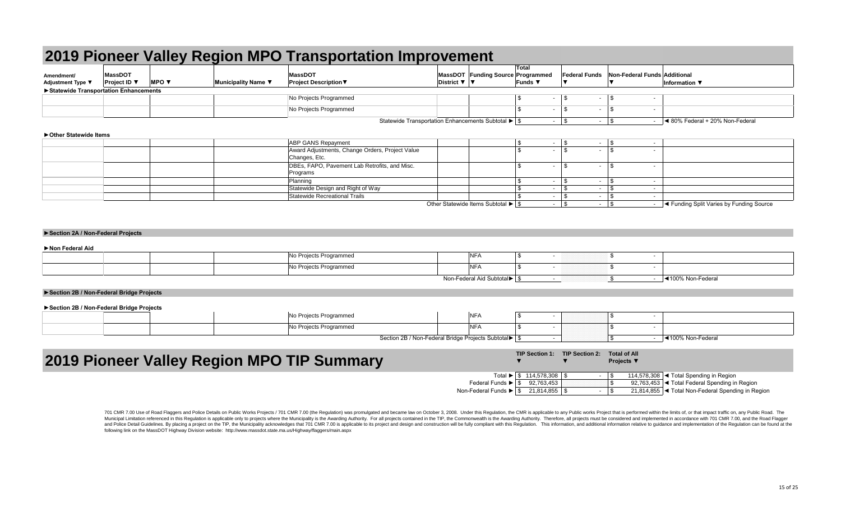| Amendment/<br><b>Adjustment Type \</b><br>▶ Statewide Transportation Enhancements | <b>MassDOT</b><br>Project ID ▼ | <b>MPO</b> $\blacktriangledown$ | Municipality Name ▼ | <b>MassDOT</b><br><b>Project Description ▼</b> |                                                     | District ▼ ▼ | MassDOT Funding Source Programmed | Total<br>Funds ▼ | <b>Federal Funds</b> Non-Federal Funds Additional | Information $\Psi$              |
|-----------------------------------------------------------------------------------|--------------------------------|---------------------------------|---------------------|------------------------------------------------|-----------------------------------------------------|--------------|-----------------------------------|------------------|---------------------------------------------------|---------------------------------|
|                                                                                   |                                |                                 |                     | No Projects Programmed                         |                                                     |              |                                   |                  |                                                   |                                 |
|                                                                                   |                                |                                 |                     | No Projects Programmed                         |                                                     |              |                                   |                  |                                                   |                                 |
|                                                                                   |                                |                                 |                     |                                                | Statewide Transportation Enhancements Subtotal ▶ \$ |              |                                   |                  |                                                   | ■ 80% Federal + 20% Non-Federal |

#### **►Other Statewide Items**

|  | <b>ABP GANS Repayment</b>                       |                                    |  |  |                                            |
|--|-------------------------------------------------|------------------------------------|--|--|--------------------------------------------|
|  | Award Adjustments, Change Orders, Project Value |                                    |  |  |                                            |
|  | Changes, Etc.                                   |                                    |  |  |                                            |
|  | DBEs, FAPO, Pavement Lab Retrofits, and Misc.   |                                    |  |  |                                            |
|  | Programs                                        |                                    |  |  |                                            |
|  | Planning                                        |                                    |  |  |                                            |
|  | Statewide Design and Right of Way               |                                    |  |  |                                            |
|  | Statewide Recreational Trails                   |                                    |  |  |                                            |
|  |                                                 | Other Statewide Items Subtotal ▶ S |  |  | I < Funding Split Varies by Funding Source |

#### **►Section 2A / Non-Federal Projects**

#### **►Non Federal Aid**

|  |  | No Projects Programmed |       | <b>NFA</b>             |  |  |                   |
|--|--|------------------------|-------|------------------------|--|--|-------------------|
|  |  | No Projects Programmed |       | NFA                    |  |  |                   |
|  |  |                        | Non-F | Federal Aid Subtotal ▶ |  |  | ◀100% Non-Federal |

### **►Section 2B / Non-Federal Bridge Projects**

|  | ► Section 2B / Non-Federal Bridge Projects |
|--|--------------------------------------------|

|  | No Projects Programmed                                  | INIE<br>ה וצו          |  |  |                   |
|--|---------------------------------------------------------|------------------------|--|--|-------------------|
|  | No Projects Programmed                                  | INIE<br>N <sub>H</sub> |  |  |                   |
|  | Section 2B / Non-Federal Bridge Projects Subtotal▶   \$ |                        |  |  | ◀100% Non-Federal |

# **2019 Pioneer Valley Region MPO TIP Summary**

|                                                             |                                                   |        | <b>Projects</b> ▼ |                                                     |
|-------------------------------------------------------------|---------------------------------------------------|--------|-------------------|-----------------------------------------------------|
|                                                             | Total $\blacktriangleright$   \$ 114.578.308   \$ | $\sim$ |                   | 114,578,308   ◀ Total Spending in Region            |
| Federal Funds ▶ S                                           | 92.763.453                                        |        |                   | 92.763.453   ◀ Total Federal Spending in Region     |
| Non-Federal Funds $\blacktriangleright$   \$21,814,855   \$ |                                                   | ٠      |                   | 21,814,855   ◀ Total Non-Federal Spending in Region |

**Projects ▼**

**TIP Section 1: TIP Section 2: Total of All** 

701 CMR 7.00 Use of Road Flaggers and Police Details on Public Works Projects / 701 CMR 7.00 (the Regulation) was promulgated and became law on October 3, 2008. Under this Regulation, the CMR is applicable to any Public wo Municipal Limitation referenced in this Regulation is applicable only to projects where the Municipality is the Awarding Authority. For all projects contained in the TIP, the Commonwealth is the Awarding Authority. Therefo and Police Detail Guidelines. By placing a project on the TIP, the Municipality acknowledges that 701 CMR 7.00 is applicable to its project and design and construction will be fully compliant with this Regulation. This inf following link on the MassDOT Highway Division website: http://www.massdot.state.ma.us/Highway/flaggers/main.aspx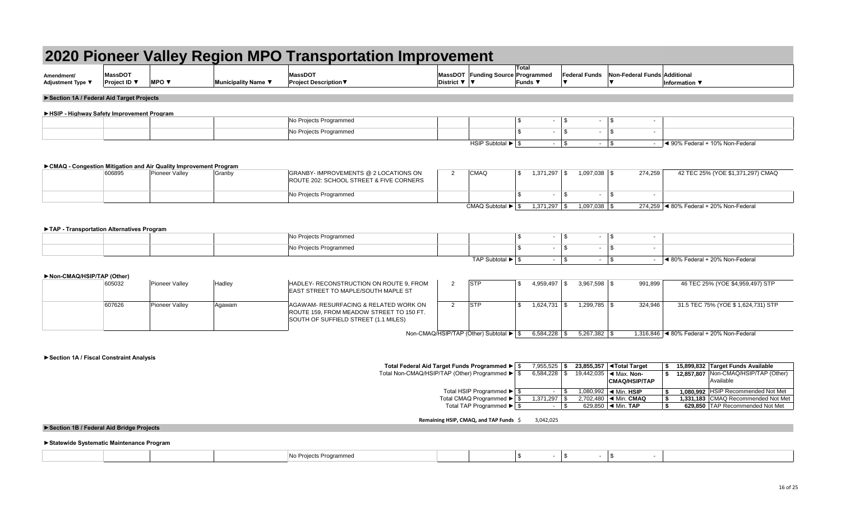|                                           |                                |                                                                                             |                     | 2020 Pioneer Valley Region MPO Transportation Improvement                                                                 |                            |                                               |                                      |                       |                                                                                          |                                                      |
|-------------------------------------------|--------------------------------|---------------------------------------------------------------------------------------------|---------------------|---------------------------------------------------------------------------------------------------------------------------|----------------------------|-----------------------------------------------|--------------------------------------|-----------------------|------------------------------------------------------------------------------------------|------------------------------------------------------|
| Amendment/<br>Adjustment Type ▼           | <b>MassDOT</b><br>Proiect ID ▼ | <b>MPO</b> $\blacktriangledown$                                                             | Municipality Name ▼ | <b>MassDOT</b><br><b>Project Description ▼</b>                                                                            | District $\nabla$ $\nabla$ | MassDOT Funding Source Programmed             | <b>Total</b><br>Funds ▼              | <b>Federal Funds</b>  | <b>Non-Federal Funds Additional</b>                                                      | Information ▼                                        |
| Section 1A / Federal Aid Target Projects  |                                |                                                                                             |                     |                                                                                                                           |                            |                                               |                                      |                       |                                                                                          |                                                      |
| HSIP - Highway Safety Improvement Program |                                |                                                                                             |                     |                                                                                                                           |                            |                                               |                                      |                       |                                                                                          |                                                      |
|                                           |                                |                                                                                             |                     | No Projects Programmed                                                                                                    |                            |                                               | -S                                   | $-1$ \$               | <b>S</b>                                                                                 |                                                      |
|                                           |                                |                                                                                             |                     | No Projects Programmed                                                                                                    |                            |                                               |                                      | \$                    | \$                                                                                       |                                                      |
|                                           |                                |                                                                                             |                     |                                                                                                                           |                            | HSIP Subtotal ▶ S                             |                                      | $-1$ \$<br>$\sim 100$ | $\sqrt{3}$                                                                               | $ \blacktriangleleft$ 90% Federal + 10% Non-Federal  |
|                                           |                                |                                                                                             |                     |                                                                                                                           |                            |                                               |                                      |                       |                                                                                          |                                                      |
|                                           | 606895                         | ► CMAQ - Congestion Mitigation and Air Quality Improvement Program<br><b>Pioneer Valley</b> | Granby              | GRANBY- IMPROVEMENTS @ 2 LOCATIONS ON<br>ROUTE 202: SCHOOL STREET & FIVE CORNERS                                          | 2                          | <b>CMAQ</b>                                   | $1,371,297$ \\$<br>\$                | $1,097,038$ \$        | 274,259                                                                                  | 42 TEC 25% (YOE \$1,371,297) CMAQ                    |
|                                           |                                |                                                                                             |                     | No Projects Programmed                                                                                                    |                            |                                               | $\mathfrak{L}$<br>$\sim$             | $\sqrt{S}$            | $\sqrt{3}$<br>$\overline{a}$                                                             |                                                      |
|                                           |                                |                                                                                             |                     |                                                                                                                           |                            | CMAQ Subtotal $\blacktriangleright$ $\mid$ \$ | $1,371,297$ \$                       | $1,097,038$ \ \$      |                                                                                          | 274,259   ◀ 80% Federal + 20% Non-Federal            |
| TAP - Transportation Alternatives Program |                                |                                                                                             |                     | No Projects Programmed<br>No Projects Programmed                                                                          |                            |                                               | \$<br>\$<br>$\overline{\phantom{a}}$ | $-1$ \$<br>l \$       | $\sqrt{3}$<br>$\blacksquare$<br>\$<br>$\sim$                                             |                                                      |
|                                           |                                |                                                                                             |                     |                                                                                                                           |                            | TAP Subtotal $\blacktriangleright$ $\mid$ \$  |                                      | $-1$ \$<br>$\sim 100$ | $\overline{\$}$<br>$\sim$                                                                | ◀ 80% Federal + 20% Non-Federal                      |
| Non-CMAQ/HSIP/TAP (Other)                 |                                |                                                                                             |                     |                                                                                                                           |                            |                                               |                                      |                       |                                                                                          |                                                      |
|                                           | 605032                         | <b>Pioneer Valley</b>                                                                       | Hadley              | HADLEY- RECONSTRUCTION ON ROUTE 9, FROM<br>EAST STREET TO MAPLE/SOUTH MAPLE ST                                            | $\overline{2}$             | <b>STP</b>                                    | 4,959,497 \$<br>-S                   | $3,967,598$ \$        | 991,899                                                                                  | 46 TEC 25% (YOE \$4,959,497) STP                     |
|                                           | 607626                         | <b>Pioneer Valley</b>                                                                       | Agawam              | AGAWAM- RESURFACING & RELATED WORK ON<br>ROUTE 159, FROM MEADOW STREET TO 150 FT.<br>SOUTH OF SUFFIELD STREET (1.1 MILES) | 2                          | <b>STP</b>                                    | \$<br>$1,624,731$ \$                 | 1,299,785 \$          | 324,946                                                                                  | 31.5 TEC 75% (YOE \$ 1,624,731) STP                  |
|                                           |                                |                                                                                             |                     |                                                                                                                           |                            | Non-CMAQ/HSIP/TAP (Other) Subtotal ▶ \$       | 6,584,228 \$                         | $5,267,382$ \$        |                                                                                          | 1,316,846 < 80% Federal + 20% Non-Federal            |
|                                           |                                |                                                                                             |                     |                                                                                                                           |                            |                                               |                                      |                       |                                                                                          |                                                      |
| ▶ Section 1A / Fiscal Constraint Analysis |                                |                                                                                             |                     | Total Federal Aid Target Funds Programmed ▶ S                                                                             |                            |                                               | $7,955,525$ \$                       |                       | 23,855,357 <total target<="" td=""><td>\$ 15,899,832 Target Funds Available</td></total> | \$ 15,899,832 Target Funds Available                 |
|                                           |                                |                                                                                             |                     | Total Non-CMAQ/HSIP/TAP (Other) Programmed ▶ \$                                                                           |                            |                                               | $6,584,228$ \$                       | 19,442,035            | ◀ Max. Non-<br><b>CMAQ/HSIP/TAP</b>                                                      | \$ 12,857,807 Non-CMAQ/HSIP/TAP (Other)<br>Available |
|                                           |                                |                                                                                             |                     |                                                                                                                           |                            | Total HSIP Programmed ▶                       |                                      |                       | 1,080,992 $\blacktriangleleft$ Min. HSIP                                                 | 1,080,992 HSIP Recommended Not Met                   |
|                                           |                                |                                                                                             |                     |                                                                                                                           |                            | Total CMAQ Programmed ▶ S                     | $1,371,297$ \$                       |                       | 2,702,480   < Min. CMAQ                                                                  | 1,331,183 CMAQ Recommended Not Met<br>\$             |

#### **►Section 1B / Federal Aid Bridge Projects**

#### **►Statewide Systematic Maintenance Program**

|--|--|--|--|--|

**Remaining HSIP, CMAQ, and TAP Funds** \$ 3,042,025

Total TAP Programmed ►

\$ 5 -  $\frac{1}{3}$  629,850 | ► Min. **TAP 1 5 629,850** | TAP Recommended Not Met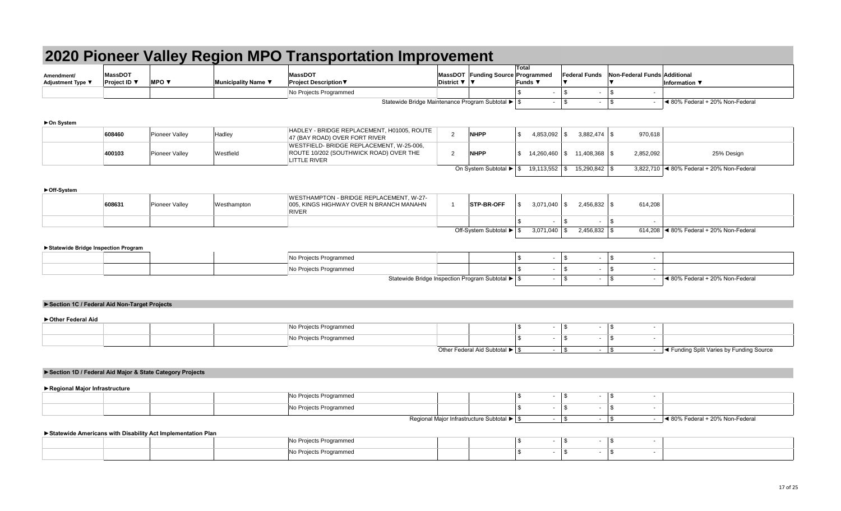|                          | 2020 Pioneer Valley Region MPO Transportation Improvement |                                 |                     |                              |                                                   |                                   |                            |                      |                              |                                  |  |  |  |
|--------------------------|-----------------------------------------------------------|---------------------------------|---------------------|------------------------------|---------------------------------------------------|-----------------------------------|----------------------------|----------------------|------------------------------|----------------------------------|--|--|--|
|                          |                                                           |                                 |                     |                              |                                                   |                                   | <b>Total</b>               |                      |                              |                                  |  |  |  |
| Amendment/               | <b>MassDOT</b>                                            |                                 |                     | <b>MassDOT</b>               |                                                   | MassDOT Funding Source Programmed |                            | <b>Federal Funds</b> | Non-Federal Funds Additional |                                  |  |  |  |
| <b>Adjustment Type</b> ▼ | Project ID ▼                                              | <b>MPO</b> $\blacktriangledown$ | Municipality Name ▼ | <b>Project Description ▼</b> | District ▼ マ                                      |                                   | Funds $\blacktriangledown$ |                      |                              | Information $\blacktriangledown$ |  |  |  |
|                          |                                                           |                                 |                     | No Projects Programmed       |                                                   |                                   |                            |                      |                              |                                  |  |  |  |
|                          |                                                           |                                 |                     |                              | Statewide Bridge Maintenance Program Subtotal ▶ S |                                   |                            |                      |                              | ◀ 80% Federal + 20% Non-Federal  |  |  |  |

| On System |
|-----------|
|-----------|

| 608460 | <b>Pioneer Vallev</b> | Hadley    | HADLEY - BRIDGE REPLACEMENT, H01005, ROUTE<br>47 (BAY ROAD) OVER FORT RIVER                        | <b>NHPP</b>          | 4,853,092                       |               | 970,618   |                                             |
|--------|-----------------------|-----------|----------------------------------------------------------------------------------------------------|----------------------|---------------------------------|---------------|-----------|---------------------------------------------|
| 400103 | <b>Pioneer Valley</b> | Westfield | WESTFIELD- BRIDGE REPLACEMENT, W-25-006,<br>ROUTE 10/202 (SOUTHWICK ROAD) OVER THE<br>LITTLE RIVER | <b>NHPP</b>          | 14,260,460   \$ 11,408,368   \$ |               | 2,852,092 | 25% Design                                  |
|        |                       |           |                                                                                                    | On System Subtotal ▶ | 19,113,552 \$                   | 15.290.842 \$ |           | 3.822.710   ◀ 80% Federal + 20% Non-Federal |

#### **►Off-System**

| 608631 | Pioneer Valley | WESTHAMPTON - BRIDGE REPLACEMENT, W-27-<br>005. KINGS HIGHWAY OVER N BRANCH MANAHN<br><b>RIVER</b> | <b>STP-BR-OFF</b>                                  | 3.071.040 | $2,456,832$ \ \; | 614,208 |                                                              |
|--------|----------------|----------------------------------------------------------------------------------------------------|----------------------------------------------------|-----------|------------------|---------|--------------------------------------------------------------|
|        |                |                                                                                                    |                                                    |           |                  |         |                                                              |
|        |                |                                                                                                    | $\bigcap$ ff Cyntam Cubtatal $\blacktriangleright$ | 3,071,040 | 2,456,832 \$     |         | $614,208$ $\blacktriangleleft$ 80% Federal + 20% Non-Federal |

#### **►Statewide Bridge Inspection Program**

|  |  | No Projects Programmed                         |  |  |  |                              |
|--|--|------------------------------------------------|--|--|--|------------------------------|
|  |  | No Projects Programmed                         |  |  |  |                              |
|  |  | Statewide Bridge Inspection Program Subtotal ▶ |  |  |  | 0% Federal + 20% Non-Federal |

#### **►Section 1C / Federal Aid Non-Target Projects**

#### **►Other Federal Aid**

|  |  | No Projects Programmed |                                                                                |  |  |                                                 |
|--|--|------------------------|--------------------------------------------------------------------------------|--|--|-------------------------------------------------|
|  |  | No Projects Programmed |                                                                                |  |  |                                                 |
|  |  |                        | $\bigcap$ thar Eadaral Aid Subtotal $\blacktriangleright$ $\lvert \ell \rvert$ |  |  | <b>4 Eunding Split Varies by Eunding Source</b> |

#### Other Federal Aid Subtotal ▶ | \$ - | - | \$ - | → Funding Split Varies by Funding Source

## **►Section 1D / Federal Aid Major & State Category Projects**

#### **►Regional Major Infrastructure**

|  |  | No Projects Programmed |                                                          |  |  |                                             |
|--|--|------------------------|----------------------------------------------------------|--|--|---------------------------------------------|
|  |  | No Projects Programmed |                                                          |  |  |                                             |
|  |  |                        | $D = -1$ and $M = 1$ and $M = -1$ and $M = 0$ . $M = -1$ |  |  | $A$ 000/ $F -$ dend $A$ 000/ Men $F -$ dend |

Regional Major Infrastructure Subtotal ▶ | \$ - | \$ - | ◀ 80% Federal + 20% Non-Federal

#### **►Statewide Americans with Disability Act Implementation Plan**

|  | $\overline{\text{M}}$<br>$\blacksquare$<br>∕r∩∩rar<br>ากาะ<br>.<br>$\sim$ $\sim$ $\sim$ $\sim$ |  |  |  |
|--|------------------------------------------------------------------------------------------------|--|--|--|
|  | No Dro<br>Projects Programmer                                                                  |  |  |  |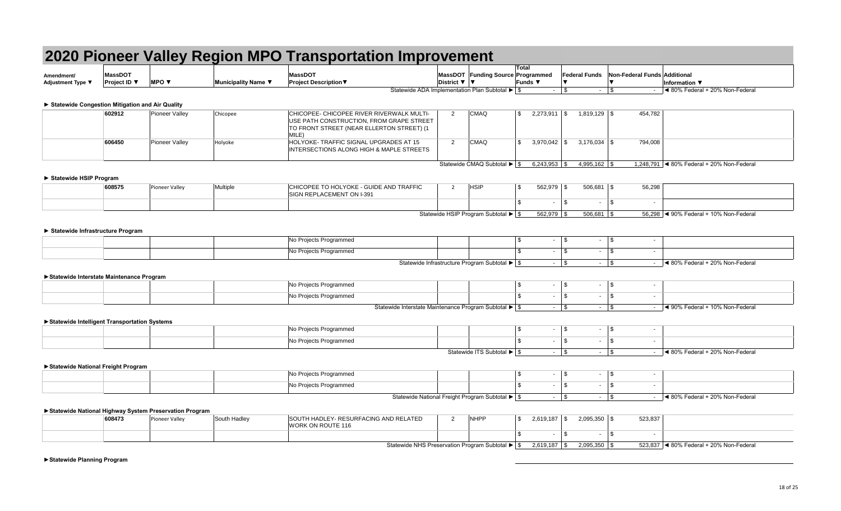| Amendment/<br>Adjustment Type ▼                 | <b>MassDOT</b><br>Project ID ▼ | <b>MPO</b> $\blacktriangledown$                        | Municipality Name ▼ | <b>MassDOT</b><br><b>Project Description ▼</b>                                                                                              | District ▼ ▼   | MassDOT Funding Source Programmed                                                          | Total<br>Funds ▼         |                 | $\overline{\mathbf{v}}$ | <b>Federal Funds</b>     | Non-Federal Funds Additional<br>$\overline{\phantom{a}}$ | <b>Information ▼</b>                                |
|-------------------------------------------------|--------------------------------|--------------------------------------------------------|---------------------|---------------------------------------------------------------------------------------------------------------------------------------------|----------------|--------------------------------------------------------------------------------------------|--------------------------|-----------------|-------------------------|--------------------------|----------------------------------------------------------|-----------------------------------------------------|
|                                                 |                                |                                                        |                     | Statewide ADA Implementation Plan Subtotal ▶ \$                                                                                             |                |                                                                                            |                          | $\sim$          | $\mathbf{R}$            | $\sim$                   | $\sqrt{S}$                                               | $-$ 4 80% Federal + 20% Non-Federal                 |
| Statewide Congestion Mitigation and Air Quality |                                |                                                        |                     |                                                                                                                                             |                |                                                                                            |                          |                 |                         |                          |                                                          |                                                     |
|                                                 | 602912                         | <b>Pioneer Valley</b>                                  | Chicopee            | CHICOPEE- CHICOPEE RIVER RIVERWALK MULTI-<br>USE PATH CONSTRUCTION, FROM GRAPE STREET<br>TO FRONT STREET (NEAR ELLERTON STREET) (1<br>MILE) | $\overline{2}$ | <b>CMAQ</b>                                                                                | \$                       | $2,273,911$ \$  |                         | $1,819,129$ \$           | 454,782                                                  |                                                     |
|                                                 | 606450                         | <b>Pioneer Valley</b>                                  | Holyoke             | HOLYOKE- TRAFFIC SIGNAL UPGRADES AT 15<br><b>INTERSECTIONS ALONG HIGH &amp; MAPLE STREETS</b>                                               | 2              | <b>CMAQ</b>                                                                                | \$                       | $3,970,042$ \$  |                         |                          | 794,008                                                  |                                                     |
|                                                 |                                |                                                        |                     |                                                                                                                                             |                | Statewide CMAQ Subtotal ▶ \$                                                               |                          | $6,243,953$ \$  |                         | $4,995,162$ \$           |                                                          | 1,248,791 < 80% Federal + 20% Non-Federal           |
| Statewide HSIP Program                          |                                |                                                        |                     |                                                                                                                                             |                |                                                                                            |                          |                 |                         |                          |                                                          |                                                     |
|                                                 | 608575                         | Pioneer Valley                                         | Multiple            | CHICOPEE TO HOLYOKE - GUIDE AND TRAFFIC<br>SIGN REPLACEMENT ON I-391                                                                        | 2              | <b>HSIP</b>                                                                                | \$                       | 562,979 \$      |                         | 506,681 \$               | 56,298                                                   |                                                     |
|                                                 |                                |                                                        |                     |                                                                                                                                             |                |                                                                                            | \$                       | $\blacksquare$  | \$                      | $\overline{\phantom{a}}$ | <b>\$</b>                                                |                                                     |
|                                                 |                                |                                                        |                     |                                                                                                                                             |                | Statewide HSIP Program Subtotal ▶ S                                                        |                          | 562,979         |                         | 506,681 \$               |                                                          | 56,298 <4 90% Federal + 10% Non-Federal             |
| Statewide Infrastructure Program                |                                |                                                        |                     | No Projects Programmed                                                                                                                      |                |                                                                                            | \$                       | $\sim$          | <b>\$</b>               | $\sim$                   | l \$<br>$\sim$                                           |                                                     |
|                                                 |                                |                                                        |                     | No Projects Programmed                                                                                                                      |                |                                                                                            | \$                       | $\sim$          | <b>\$</b>               | $\sim$                   | l \$<br>$\sim$                                           |                                                     |
|                                                 |                                |                                                        |                     |                                                                                                                                             |                | Statewide Infrastructure Program Subtotal ▶ Statewide Infrastructure Program Subtotal ▶ St |                          | $-1$ \$         |                         | $-1$ \$                  |                                                          | $-$ 4 80% Federal + 20% Non-Federal                 |
| Statewide Interstate Maintenance Program        |                                |                                                        |                     |                                                                                                                                             |                |                                                                                            |                          |                 |                         |                          |                                                          |                                                     |
|                                                 |                                |                                                        |                     | No Projects Programmed                                                                                                                      |                |                                                                                            | \$                       | $\sim$          | $\sqrt{3}$              | $\sim$                   | $\sqrt{3}$<br>$\overline{\phantom{a}}$                   |                                                     |
|                                                 |                                |                                                        |                     | No Projects Programmed                                                                                                                      |                |                                                                                            | $\overline{\mathbf{S}}$  | $\sim$          | $\mathfrak s$           | $\sim$                   | $\sqrt{3}$<br>$\sim$                                     |                                                     |
|                                                 |                                |                                                        |                     | Statewide Interstate Maintenance Program Subtotal ▶ \$                                                                                      |                |                                                                                            |                          | $ \sqrt{3}$     |                         | $-1$ \$                  |                                                          | $ \blacktriangleleft$ 90% Federal + 10% Non-Federal |
| ▶ Statewide Intelligent Transportation Systems  |                                |                                                        |                     |                                                                                                                                             |                |                                                                                            |                          |                 |                         |                          |                                                          |                                                     |
|                                                 |                                |                                                        |                     | No Projects Programmed                                                                                                                      |                |                                                                                            | \$.                      | $\sim$          | \$                      | $\sim$                   | \$<br>$\sim$                                             |                                                     |
|                                                 |                                |                                                        |                     | No Projects Programmed                                                                                                                      |                |                                                                                            | $\overline{\mathcal{S}}$ | $\sim$          | \$                      | $\blacksquare$           | <b>S</b><br>$\sim$                                       |                                                     |
|                                                 |                                |                                                        |                     |                                                                                                                                             |                | Statewide ITS Subtotal ▶ S                                                                 |                          | $-1$ \$         |                         | $-1$ \$                  |                                                          | $-$ 4 80% Federal + 20% Non-Federal                 |
|                                                 |                                |                                                        |                     |                                                                                                                                             |                |                                                                                            |                          |                 |                         |                          |                                                          |                                                     |
| ▶ Statewide National Freight Program            |                                |                                                        |                     | No Projects Programmed                                                                                                                      |                |                                                                                            | \$                       | $\sim$          | <b>S</b>                | $\sim$                   | l \$<br>$\sim$                                           |                                                     |
|                                                 |                                |                                                        |                     | No Projects Programmed                                                                                                                      |                |                                                                                            | \$                       | $\sim$          | \$                      | $\sim$                   | $\sqrt{3}$<br>$\sim$                                     |                                                     |
|                                                 |                                |                                                        |                     |                                                                                                                                             |                | Statewide National Freight Program Subtotal ▶ \$                                           |                          | $-1$ \$         |                         | $-1$ \$                  |                                                          | $-$ 4 80% Federal + 20% Non-Federal                 |
|                                                 |                                | Statewide National Highway System Preservation Program |                     |                                                                                                                                             |                |                                                                                            |                          |                 |                         |                          |                                                          |                                                     |
|                                                 | 608473                         | Pioneer Valley                                         | South Hadley        | SOUTH HADLEY- RESURFACING AND RELATED<br><b>WORK ON ROUTE 116</b>                                                                           | 2              | <b>NHPP</b>                                                                                | \$                       | $2,619,187$ \\$ |                         | $2,095,350$ \$           | 523,837                                                  |                                                     |
|                                                 |                                |                                                        |                     |                                                                                                                                             |                |                                                                                            | \$                       |                 | - \$                    | $\sim$                   | <b>\$</b>                                                |                                                     |
|                                                 |                                |                                                        |                     |                                                                                                                                             |                |                                                                                            |                          |                 |                         |                          |                                                          |                                                     |

#### **►Statewide Planning Program**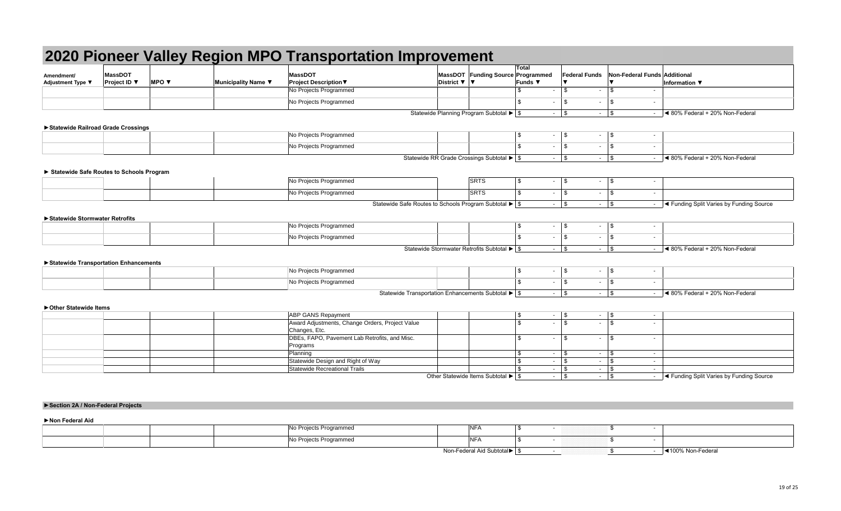|                                                                    |                                |                                 |                     | <b>MassDOT</b>                                                            |                                                                                                     | <b>Total</b>                                  |                                              |                |                                                       |
|--------------------------------------------------------------------|--------------------------------|---------------------------------|---------------------|---------------------------------------------------------------------------|-----------------------------------------------------------------------------------------------------|-----------------------------------------------|----------------------------------------------|----------------|-------------------------------------------------------|
| Amendment/<br>Adjustment Type ▼                                    | <b>MassDOT</b><br>Project ID ▼ | <b>MPO</b> $\blacktriangledown$ | Municipality Name ▼ | <b>Project Description ▼</b>                                              | MassDOT Funding Source Programmed<br>District $\nabla$ $\nabla$                                     | Funds ▼                                       | <b>Federal Funds</b>                         |                | Non-Federal Funds Additional<br>Information $\Psi$    |
|                                                                    |                                |                                 |                     | No Projects Programmed                                                    |                                                                                                     | $\mathfrak{L}$                                | $\sqrt{3}$                                   | \$             |                                                       |
|                                                                    |                                |                                 |                     |                                                                           |                                                                                                     | $\sim$                                        | $\sim$                                       |                |                                                       |
|                                                                    |                                |                                 |                     | No Projects Programmed                                                    |                                                                                                     | $\mathfrak{L}$                                | \$<br>$\sim$                                 | \$             | $\sim$                                                |
|                                                                    |                                |                                 |                     |                                                                           | Statewide Planning Program Subtotal ▶ \$                                                            |                                               | $-$ \$<br>$\sim$ $-$                         | $\mathfrak{L}$ | $-$ 4 80% Federal + 20% Non-Federal                   |
|                                                                    |                                |                                 |                     |                                                                           |                                                                                                     |                                               |                                              |                |                                                       |
| Statewide Railroad Grade Crossings                                 |                                |                                 |                     | No Projects Programmed                                                    |                                                                                                     | \$                                            | $ \sqrt{3}$                                  | $-1$ \$        | $\sim$                                                |
|                                                                    |                                |                                 |                     |                                                                           |                                                                                                     |                                               |                                              |                |                                                       |
|                                                                    |                                |                                 |                     | No Projects Programmed                                                    |                                                                                                     | $\hat{\mathcal{L}}$                           | <b>S</b><br>$\sim$                           | \$             | $\sim$                                                |
|                                                                    |                                |                                 |                     |                                                                           | Statewide RR Grade Crossings Subtotal ▶ \$                                                          |                                               | $ \sqrt{3}$                                  | $-$ \$         | $-$ 4 80% Federal + 20% Non-Federal                   |
|                                                                    |                                |                                 |                     |                                                                           |                                                                                                     |                                               |                                              |                |                                                       |
| Statewide Safe Routes to Schools Program                           |                                |                                 |                     | No Projects Programmed                                                    | <b>SRTS</b>                                                                                         | \$                                            | $-1$ \$                                      | $-1$ \$        | $\sim$                                                |
|                                                                    |                                |                                 |                     |                                                                           |                                                                                                     |                                               |                                              |                |                                                       |
|                                                                    |                                |                                 |                     | No Projects Programmed                                                    | <b>SRTS</b>                                                                                         | $\mathbb{S}$                                  | $\sqrt{S}$<br>$\sim$                         | \$             | $\sim$                                                |
|                                                                    |                                |                                 |                     |                                                                           | Statewide Safe Routes to Schools Program Subtotal ▶ \$                                              |                                               | $-1$ \$                                      |                | - <a>I<br/>Tunding Split Varies by Funding Source</a> |
|                                                                    |                                |                                 |                     |                                                                           |                                                                                                     |                                               |                                              |                |                                                       |
| ▶ Statewide Stormwater Retrofits                                   |                                |                                 |                     |                                                                           |                                                                                                     |                                               |                                              |                |                                                       |
|                                                                    |                                |                                 |                     | No Projects Programmed                                                    |                                                                                                     | $\mathfrak{L}$                                | $-1$ \$                                      | $-1$ \$        | $\sim$                                                |
|                                                                    |                                |                                 |                     | No Projects Programmed                                                    |                                                                                                     | $\mathfrak{L}$<br>$\sim$                      | \$<br>$\sim$                                 | \$             | $\sim$                                                |
|                                                                    |                                |                                 |                     |                                                                           | Statewide Stormwater Retrofits Subtotal ▶ \$                                                        |                                               | $\sim$ 1                                     | \$             | $-$ 4 80% Federal + 20% Non-Federal                   |
|                                                                    |                                |                                 |                     |                                                                           |                                                                                                     |                                               |                                              |                |                                                       |
|                                                                    |                                |                                 |                     |                                                                           |                                                                                                     |                                               |                                              |                |                                                       |
|                                                                    |                                |                                 |                     |                                                                           |                                                                                                     |                                               |                                              |                |                                                       |
|                                                                    |                                |                                 |                     | No Projects Programmed                                                    |                                                                                                     | \$                                            | $-1$ \$                                      |                | $\sim$                                                |
|                                                                    |                                |                                 |                     | No Projects Programmed                                                    |                                                                                                     | $\mathfrak{L}$<br>$\sim$                      | \$<br>$\sim$ $-$                             | \$             | $\overline{\phantom{a}}$                              |
|                                                                    |                                |                                 |                     |                                                                           |                                                                                                     |                                               | $-1$ \$<br>$\sim$ $-$                        |                | $\sim 100$                                            |
|                                                                    |                                |                                 |                     |                                                                           | Statewide Transportation Enhancements Subtotal ▶ Statewide Transportation Enhancements Subtotal ▶ S |                                               |                                              | \$             | ■ 80% Federal + 20% Non-Federal                       |
|                                                                    |                                |                                 |                     |                                                                           |                                                                                                     |                                               |                                              |                |                                                       |
|                                                                    |                                |                                 |                     | <b>ABP GANS Repayment</b>                                                 |                                                                                                     | \$                                            | $\sim$ 1                                     | \$             | $\sim$                                                |
|                                                                    |                                |                                 |                     | Award Adjustments, Change Orders, Project Value                           |                                                                                                     | $\mathfrak{L}$                                | $\mathbb{S}$<br>$\mathcal{L}^{\pm}$          | \$             | $\overline{\phantom{a}}$                              |
|                                                                    |                                |                                 |                     | Changes, Etc.                                                             |                                                                                                     |                                               |                                              |                |                                                       |
|                                                                    |                                |                                 |                     | DBEs, FAPO, Pavement Lab Retrofits, and Misc.                             |                                                                                                     | $\mathfrak{L}$<br><b>Section</b>              | \$<br>$\sim$                                 | \$             | $\sim$                                                |
|                                                                    |                                |                                 |                     | Programs                                                                  |                                                                                                     |                                               |                                              |                | $\sim$                                                |
| ▶ Statewide Transportation Enhancements<br>▶ Other Statewide Items |                                |                                 |                     | Planning                                                                  |                                                                                                     | \$<br>$\sim 100$                              | <b>S</b><br>$\sim 100$                       | \$             |                                                       |
|                                                                    |                                |                                 |                     | Statewide Design and Right of Way<br><b>Statewide Recreational Trails</b> |                                                                                                     | \$.<br>$\sim$<br>$\mathfrak{L}$<br>$\sim 100$ | \$<br>$\sim$<br>$\overline{\$}$<br>$\sim 10$ | \$<br>\$       | $\sim$<br>$\sim$                                      |

### **►Section 2A / Non-Federal Projects**

#### **►Non Federal Aid**

|  | No Distante Dr<br>`ogramme.                     | <b>INFA</b>                                                                      |  |                                                                                                                     |
|--|-------------------------------------------------|----------------------------------------------------------------------------------|--|---------------------------------------------------------------------------------------------------------------------|
|  | <sup>--</sup> Programmed<br><b>INUI</b><br>---- | <b>INFA</b>                                                                      |  |                                                                                                                     |
|  |                                                 | ,我们也不会有什么。""我们的人,我们也不会有什么?""我们的人,我们也不会有什么?""我们的人,我们也不会有什么?""我们的人,我们也不会有什么?""我们的人 |  | and the contract of the contract of the contract of the contract of the contract of the contract of the contract of |

\$ - \$ - Non-Federal Aid Subtotal► ◄100% Non-Federal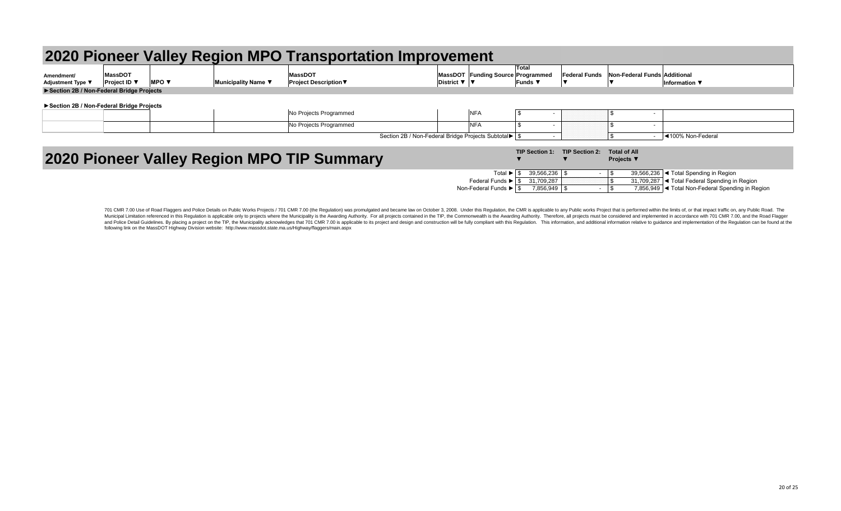|                                            |                                       |              |                                            | 2020 Pioneer Valley Region MPO Transportation Improvement |                              |                                                                  |                          |                       |                              |                                                   |
|--------------------------------------------|---------------------------------------|--------------|--------------------------------------------|-----------------------------------------------------------|------------------------------|------------------------------------------------------------------|--------------------------|-----------------------|------------------------------|---------------------------------------------------|
| Amendment/<br>Adjustment Type ▼            | <b>MassDOT</b><br><b>Project ID</b> ▼ | <b>MPO ▼</b> | Municipality Name ▼                        | <b>MassDOT</b><br><b>Project Description ▼</b>            | District $\nabla$   $\nabla$ | MassDOT Funding Source Programmed                                | Total<br><b>IFunds</b> ▼ | <b>Federal Funds</b>  | Non-Federal Funds Additional | Information $\blacktriangledown$                  |
| ▶ Section 2B / Non-Federal Bridge Projects |                                       |              |                                            |                                                           |                              |                                                                  |                          |                       |                              |                                                   |
| Section 2B / Non-Federal Bridge Projects   |                                       |              |                                            |                                                           |                              |                                                                  |                          |                       |                              |                                                   |
|                                            |                                       |              |                                            | No Projects Programmed                                    |                              | <b>NFA</b>                                                       |                          |                       |                              |                                                   |
|                                            |                                       |              |                                            | No Projects Programmed                                    |                              | <b>NFA</b>                                                       |                          |                       | $\sim$                       |                                                   |
|                                            |                                       |              |                                            | Section 2B / Non-Federal Bridge Projects Subtotal ▶ S     |                              |                                                                  |                          |                       |                              | ◀100% Non-Federal                                 |
|                                            |                                       |              |                                            |                                                           |                              |                                                                  | <b>TIP Section 1:</b>    | <b>TIP Section 2:</b> | <b>Total of All</b>          |                                                   |
|                                            |                                       |              | 2020 Pioneer Valley Region MPO TIP Summary |                                                           |                              |                                                                  |                          |                       | <b>Projects</b> ▼            |                                                   |
|                                            |                                       |              |                                            |                                                           |                              | Total $\blacktriangleright$ $\mid$ \$                            | 39,566,236 \$            | $\sim$                | l \$                         | 39,566,236   ◀ Total Spending in Region           |
|                                            |                                       |              |                                            |                                                           |                              | Federal Funds ►                                                  | \$.<br>31.709.287        |                       |                              | 31,709,287  ◀ Total Federal Spending in Region    |
|                                            |                                       |              |                                            |                                                           |                              | Non-Federal Funds $\blacktriangleright$ $\blacktriangleright$ \$ | 7,856,949 \$             | $\sim$                | l \$                         | 7,856,949  ◀ Total Non-Federal Spending in Region |
|                                            |                                       |              |                                            |                                                           |                              |                                                                  |                          |                       |                              |                                                   |

701 CMR 7.00 Use of Road Flaggers and Police Details on Public Works Projects / 701 CMR 7.00 (the Regulation) was promulgated and became law on October 3, 2008. Under this Regulation, the CMR is applicable to any Public wi and Police Detail Guidelines. By placing a project on the TIP, the Municipality acknowledges that 701 CMR 7.00 is applicable to its project and design and construction will be fully compliant with this Regulation. This inf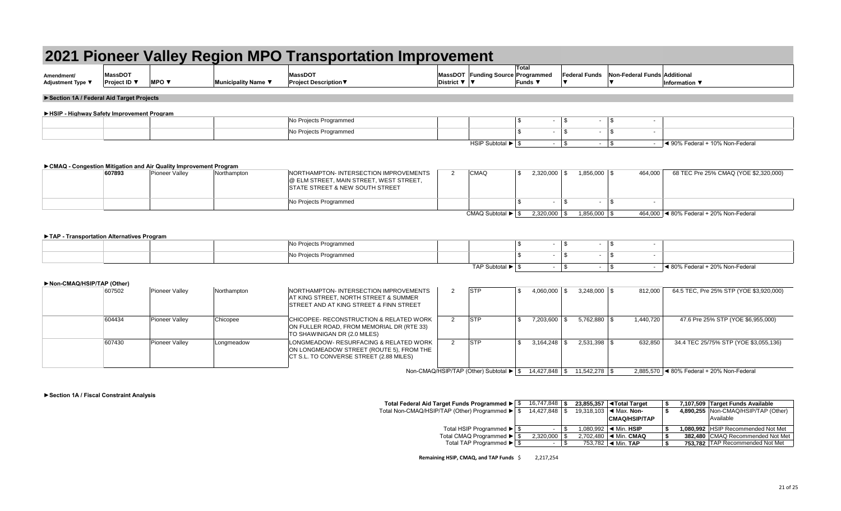#### **Amendment/ Adjustment Type ▼ MassDOT Project ID ▼ MPO ▼ Municipality Name ▼ MassDOT Project Description**▼ **MassDOT District** ▼ **Funding Source Programmed**  ▼ **Total Funds** ▼ **Federal Funds**  ▼ **Non-Federal Funds Additional**  ▼ No Projects Programmed **19. In the set of the set of the set of the set of the set of the set of the set of the set of the set of the set of the set of the set of the set of the set of the set of the set of the set of the** No Projects Programmed and the set of the set of the set of the set of the set of the set of the set of the set of the set of the set of the set of the set of the set of the set of the set of the set of the set of the set \$ - \$ - \$ - **607893** Pioneer Valley Northampton NORTHAMPTON- INTERSECTION IMPROVEMENTS @ ELM STREET, MAIN STREET, WEST STREET, STATE STREET & NEW SOUTH STREET 2 CMAQ \$ 2,320,000 \$ 1,856,000 \$ 464,000 No Projects Programmed and the set of the set of the set of the set of the set of the set of the set of the set of the set of the set of the set of the set of the set of the set of the set of the set of the set of the set  $CMAO Subtotal \triangleright S$  2,320,000 \$ 1,856,000 \$ No Projects Programmed and the set of the set of the set of the set of the set of the set of the set of the set of the set of the set of the set of the set of the set of the set of the set of the set of the set of the set No Projects Programmed and the set of the set of the set of the set of the set of the set of the set of the set of the set of the set of the set of the set of the set of the set of the set of the set of the set of the set \$ - \$ - \$ - 607502 Pioneer Valley Northampton NORTHAMPTON- INTERSECTION IMPROVEMENTS AT KING STREET, NORTH STREET & SUMMER STREET AND AT KING STREET & FINN STREET 2 STP \$ 4,060,000 \$ 3,248,000 \$ 812,000 604434 Pioneer Valley Chicopee CHICOPEE- RECONSTRUCTION & RELATED WORK ON FULLER ROAD, FROM MEMORIAL DR (RTE 33) TO SHAWINIGAN DR (2.0 MILES) 2 STP \$ 7,203,600 \$ 5,762,880 \$ 1,440,720 607430 Pioneer Valley Longmeadow LONGMEADOW- RESURFACING & RELATED WORK ON LONGMEADOW STREET (ROUTE 5), FROM THE 2 STP \$ 3,164,248 \$ 2,531,398 \$ 632,850 **2021 Pioneer Valley Region MPO Transportation Improvement Information ▼ ►Section 1A / Federal Aid Target Projects ►HSIP - Highway Safety Improvement Program** HSIP Subtotal ► ◄ 90% Federal + 10% Non-Federal **►CMAQ - Congestion Mitigation and Air Quality Improvement Program** 68 TEC Pre 25% CMAQ (YOE \$2,320,000)  $464.000$  < 80% Federal + 20% Non-Federal **►TAP - Transportation Alternatives Program** TAP Subtotal ► ◄ 80% Federal + 20% Non-Federal **►Non-CMAQ/HSIP/TAP (Other)** 64.5 TEC, Pre 25% STP (YOE \$3,920,000) 34.4 TEC 25/75% STP (YOE \$3,055,136) 47.6 Pre 25% STP (YOE \$6,955,000)

CT S.L. TO CONVERSE STREET (2.88 MILES)

\$ 14,427,848 \$ 11,542,278 \$ 2,885,570 Non-CMAQ/HSIP/TAP (Other) Subtotal ► ◄ 80% Federal + 20% Non-Federal

**►Section 1A / Fiscal Constraint Analysis**

| Total Federal Aid Target Funds Programmed ▶ S  | 16.747.848   \$ |  | 23,855,357   ◀Total Target                |  | 7,107,509 Target Funds Available    |
|------------------------------------------------|-----------------|--|-------------------------------------------|--|-------------------------------------|
| Total Non-CMAQ/HSIP/TAP (Other) Programmed ▶ S | 14.427.848 \$   |  | 19,318,103 $\blacktriangleleft$ Max. Non- |  | 4.890.255 Non-CMAQ/HSIP/TAP (Other) |
|                                                |                 |  | <b>CMAQ/HSIP/TAP</b>                      |  | Available                           |
| Total HSIP Programmed ▶ S                      | $\sim$          |  | 1.080.992  ◀ Min. HSIP                    |  | 1.080.992 HSIP Recommended Not Met  |
| Total CMAQ Programmed ▶ \$                     | 2,320,000       |  | 2,702,480   ◀ Min. CMAQ                   |  | 382.480 CMAQ Recommended Not Met    |
| Total TAP Programmed ▶ S                       | $\sim$          |  | 753.782 <b>4 Min. TAP</b>                 |  | 753,782 TAP Recommended Not Met     |

**Remaining HSIP, CMAQ, and TAP Funds** \$ 2,217,254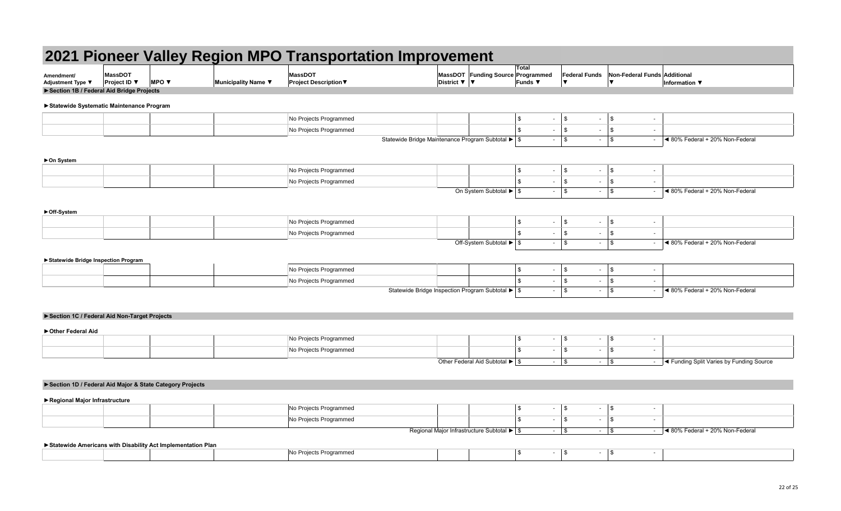| Amendment/<br>Adjustment Type ▼              | <b>MassDOT</b><br>Project ID ▼ | MPO V | Municipality Name ▼ | <b>MassDOT</b><br><b>Project Description ▼</b> | District $\blacktriangledown$ $\blacktriangledown$ | MassDOT Funding Source Programmed | <b>Total</b><br>Funds $\blacktriangledown$ | <b>Federal Funds</b>         | Non-Federal Funds Additional<br>$\blacksquare$ | Information ▼                   |
|----------------------------------------------|--------------------------------|-------|---------------------|------------------------------------------------|----------------------------------------------------|-----------------------------------|--------------------------------------------|------------------------------|------------------------------------------------|---------------------------------|
| Section 1B / Federal Aid Bridge Projects     |                                |       |                     |                                                |                                                    |                                   |                                            |                              |                                                |                                 |
| Statewide Systematic Maintenance Program     |                                |       |                     |                                                |                                                    |                                   |                                            |                              |                                                |                                 |
|                                              |                                |       |                     | No Projects Programmed                         |                                                    |                                   | \$                                         | $-$   \$<br>$\blacksquare$   | \$<br>$\sim$                                   |                                 |
|                                              |                                |       |                     | No Projects Programmed                         |                                                    |                                   | $\mathfrak{L}$                             | $\bullet$                    | \$<br>$\sim$                                   |                                 |
|                                              |                                |       |                     |                                                | Statewide Bridge Maintenance Program Subtotal ▶ S  |                                   |                                            | $-$ \$                       | $-$ \$                                         | ◀ 80% Federal + 20% Non-Federal |
| ▶ On System                                  |                                |       |                     |                                                |                                                    |                                   |                                            |                              |                                                |                                 |
|                                              |                                |       |                     | No Projects Programmed                         |                                                    |                                   | \$                                         | $\sim$                       | \$<br>$\sim$                                   |                                 |
|                                              |                                |       |                     | No Projects Programmed                         |                                                    |                                   | \$<br>$\sim$                               | \$<br>$\sim$                 | \$<br>$\overline{\phantom{a}}$                 |                                 |
|                                              |                                |       |                     |                                                |                                                    | On System Subtotal ▶ \$           | $\sim$                                     | $\overline{\mathbf{s}}$      | $ \sqrt{s}$                                    | ◀ 80% Federal + 20% Non-Federal |
| ▶ Off-System                                 |                                |       |                     |                                                |                                                    |                                   |                                            |                              |                                                |                                 |
|                                              |                                |       |                     | No Projects Programmed                         |                                                    |                                   | \$                                         | $\sqrt{3}$<br>$\blacksquare$ | \$                                             |                                 |
|                                              |                                |       |                     | No Projects Programmed                         |                                                    | Off-System Subtotal ▶ \$          | $\sim$                                     | $\sqrt{3}$<br>$\sim$<br>l \$ | \$                                             | ◀ 80% Federal + 20% Non-Federal |
|                                              |                                |       |                     |                                                |                                                    |                                   |                                            |                              |                                                |                                 |
| Statewide Bridge Inspection Program          |                                |       |                     |                                                |                                                    |                                   |                                            |                              |                                                |                                 |
|                                              |                                |       |                     | No Projects Programmed                         |                                                    |                                   | \$                                         | \$<br>$\blacksquare$         | \$<br>$\overline{\phantom{a}}$                 |                                 |
|                                              |                                |       |                     | No Projects Programmed                         |                                                    |                                   |                                            | \$<br>$\blacksquare$         | \$                                             |                                 |
|                                              |                                |       |                     |                                                | Statewide Bridge Inspection Program Subtotal ▶ \$  |                                   |                                            | $-1$                         | $-$ \$                                         | ◀ 80% Federal + 20% Non-Federal |
|                                              |                                |       |                     |                                                |                                                    |                                   |                                            |                              |                                                |                                 |
| Section 1C / Federal Aid Non-Target Projects |                                |       |                     |                                                |                                                    |                                   |                                            |                              |                                                |                                 |
| Other Federal Aid                            |                                |       |                     |                                                |                                                    |                                   |                                            |                              |                                                |                                 |
|                                              |                                |       |                     | No Projects Programmed                         |                                                    |                                   | \$                                         |                              | $\overline{\phantom{a}}$                       |                                 |
|                                              |                                |       |                     | No Projects Programmed                         |                                                    |                                   | $\mathcal{L}$<br>$\sim$                    | l \$<br>$\sim$               | \$<br>$\blacksquare$                           |                                 |
|                                              |                                |       |                     |                                                |                                                    |                                   |                                            |                              |                                                |                                 |

#### **►Regional Major Infrastructure**

|  | ects Programmed                              |                                        |  |  |                                 |
|--|----------------------------------------------|----------------------------------------|--|--|---------------------------------|
|  | Projects Programmed<br>$N_{\alpha}$<br>ו שיו |                                        |  |  |                                 |
|  |                                              | Pogional Major Infrastructure Subtotal |  |  | * 80% Federal + 20% Non-Federal |

#### **►Statewide Americans with Disability Act Implementation Plan**

| INU |
|-----|
|-----|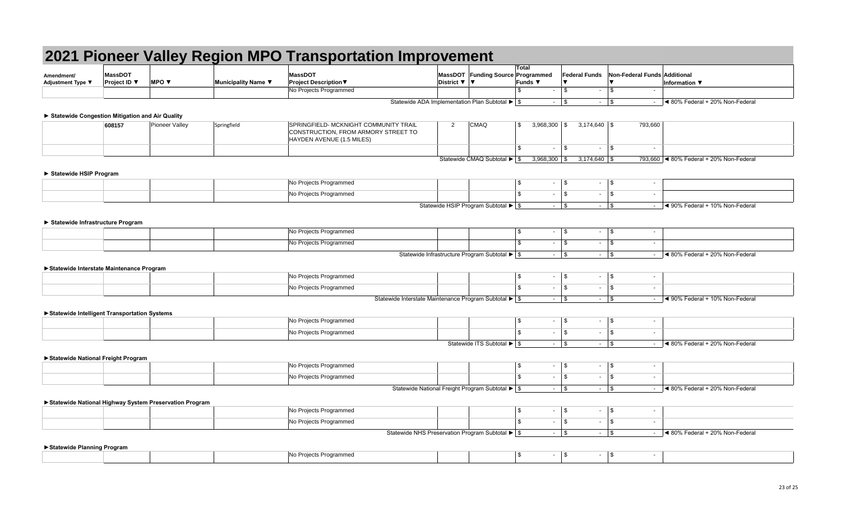|                                                 |                                |                                                        |                     | 2021 Pioneer Valley Region MPO Transportation Improvement                                                 |                |                                                  |                                       |                                                  |                                        |                                                    |
|-------------------------------------------------|--------------------------------|--------------------------------------------------------|---------------------|-----------------------------------------------------------------------------------------------------------|----------------|--------------------------------------------------|---------------------------------------|--------------------------------------------------|----------------------------------------|----------------------------------------------------|
| Amendment/<br>Adjustment Type ▼                 | <b>MassDOT</b><br>Project ID ▼ | <b>MPO ▼</b>                                           | Municipality Name ▼ | <b>MassDOT</b><br><b>Project Description ▼</b>                                                            | District ▼ ▼   | <b>MassDOT</b> Funding Source                    | Total<br>Programmed<br><b>Funds ▼</b> | <b>Federal Funds</b><br>$\overline{\phantom{a}}$ | Non-Federal Funds Additional           | <b>Information ▼</b>                               |
|                                                 |                                |                                                        |                     | No Projects Programmed                                                                                    |                |                                                  | \$<br>$\blacksquare$                  | \$<br>$\sim$                                     | l \$                                   |                                                    |
|                                                 |                                |                                                        |                     |                                                                                                           |                | Statewide ADA Implementation Plan Subtotal ▶ \$  | $\sim$                                | $\sqrt{3}$<br>$-$ \$                             | $\sim$                                 | ◀ 80% Federal + 20% Non-Federal                    |
| Statewide Congestion Mitigation and Air Quality |                                |                                                        |                     |                                                                                                           |                |                                                  |                                       |                                                  |                                        |                                                    |
|                                                 | 608157                         | Pioneer Valley                                         | Springfield         | SPRINGFIELD- MCKNIGHT COMMUNITY TRAIL<br>CONSTRUCTION, FROM ARMORY STREET TO<br>HAYDEN AVENUE (1.5 MILES) | $\overline{2}$ | <b>CMAQ</b>                                      | $3,968,300$ \$<br>\$                  | $3,174,640$ \$                                   | 793,660                                |                                                    |
|                                                 |                                |                                                        |                     |                                                                                                           |                |                                                  | \$<br>$\sim$                          | l \$<br>$\sim$                                   | l \$<br>$\overline{\phantom{a}}$       |                                                    |
|                                                 |                                |                                                        |                     |                                                                                                           |                | Statewide CMAQ Subtotal ▶ S                      | $3,968,300$ \$                        | $3,174,640$ \$                                   |                                        | 793,660 < 80% Federal + 20% Non-Federal            |
| Statewide HSIP Program                          |                                |                                                        |                     |                                                                                                           |                |                                                  |                                       |                                                  |                                        |                                                    |
|                                                 |                                |                                                        |                     | No Projects Programmed                                                                                    |                |                                                  | \$<br>$\sim$                          | $\sqrt{3}$<br>$\sim$                             | $\sqrt{S}$<br>$\blacksquare$           |                                                    |
|                                                 |                                |                                                        |                     | No Projects Programmed                                                                                    |                |                                                  | \$<br>$\sim$                          | \$<br>$\sim$                                     | \$<br>$\sim$                           |                                                    |
|                                                 |                                |                                                        |                     |                                                                                                           |                | Statewide HSIP Program Subtotal ▶ \$             | $\sim$                                | $\sqrt{3}$<br>$-$ \$                             | $\sim$                                 | ■ 90% Federal + 10% Non-Federal                    |
|                                                 |                                |                                                        |                     |                                                                                                           |                |                                                  |                                       |                                                  |                                        |                                                    |
| Statewide Infrastructure Program                |                                |                                                        |                     | No Projects Programmed                                                                                    |                |                                                  | \$                                    | \$                                               | $\sqrt{3}$                             |                                                    |
|                                                 |                                |                                                        |                     |                                                                                                           |                |                                                  | $\sim$                                | $\blacksquare$                                   | $\blacksquare$                         |                                                    |
|                                                 |                                |                                                        |                     | No Projects Programmed                                                                                    |                |                                                  | \$<br>$\sim$                          | $\sqrt{3}$<br>$\sim$                             | $\sqrt{S}$<br>$\sim$                   |                                                    |
|                                                 |                                |                                                        |                     |                                                                                                           |                | Statewide Infrastructure Program Subtotal ▶ \$   |                                       | $-$ \$<br>$-$ \$                                 |                                        | $-$ 4 80% Federal + 20% Non-Federal                |
| Statewide Interstate Maintenance Program        |                                |                                                        |                     |                                                                                                           |                |                                                  |                                       |                                                  |                                        |                                                    |
|                                                 |                                |                                                        |                     | No Projects Programmed                                                                                    |                |                                                  | \$<br>$\sim$                          | $\sqrt{3}$<br>$\sim$                             | $\sqrt{3}$<br>$\blacksquare$           |                                                    |
|                                                 |                                |                                                        |                     | No Projects Programmed                                                                                    |                |                                                  | \$<br>$\sim$                          | l \$<br>$\sim$                                   | $\sqrt{3}$<br>$\sim$                   |                                                    |
|                                                 |                                |                                                        |                     | Statewide Interstate Maintenance Program Subtotal ▶ \$                                                    |                |                                                  |                                       | $-$ \$<br>$-$   \$                               | $\sim$                                 | $\blacktriangleleft$ 90% Federal + 10% Non-Federal |
| ▶ Statewide Intelligent Transportation Systems  |                                |                                                        |                     |                                                                                                           |                |                                                  |                                       |                                                  |                                        |                                                    |
|                                                 |                                |                                                        |                     | No Projects Programmed                                                                                    |                |                                                  | \$<br>$\sim$                          | $\sqrt{3}$<br>$\sim$                             | $\sqrt{3}$<br>$\sim$                   |                                                    |
|                                                 |                                |                                                        |                     | No Projects Programmed                                                                                    |                |                                                  | $\mathfrak{L}$<br>$\sim$              | \$<br>$\sim$                                     | $\sqrt{3}$<br>$\sim$                   |                                                    |
|                                                 |                                |                                                        |                     |                                                                                                           |                | Statewide ITS Subtotal ▶ \$                      |                                       | $-1$ \$<br>$-$ \$                                |                                        | $-$ 4 80% Federal + 20% Non-Federal                |
| Statewide National Freight Program              |                                |                                                        |                     |                                                                                                           |                |                                                  |                                       |                                                  |                                        |                                                    |
|                                                 |                                |                                                        |                     | No Projects Programmed                                                                                    |                |                                                  | \$<br>$\sim$                          | $\sqrt{3}$<br>$\sim$                             | $\vert$ \$<br>$\sim$                   |                                                    |
|                                                 |                                |                                                        |                     | No Projects Programmed                                                                                    |                |                                                  | $\overline{\mathbf{s}}$<br>$\sim$     | l \$<br>$\sim$                                   | $\sqrt{3}$<br>$\sim$                   |                                                    |
|                                                 |                                |                                                        |                     |                                                                                                           |                | Statewide National Freight Program Subtotal ▶ \$ |                                       | $-$   \$<br>$-$ \$                               | $\sim$                                 | $\blacktriangleleft$ 80% Federal + 20% Non-Federal |
|                                                 |                                | Statewide National Highway System Preservation Program |                     |                                                                                                           |                |                                                  |                                       |                                                  |                                        |                                                    |
|                                                 |                                |                                                        |                     | No Projects Programmed                                                                                    |                |                                                  | \$<br>$\sim$                          | $\sqrt{3}$<br>$\sim$                             | $\vert$ \$<br>$\sim$                   |                                                    |
|                                                 |                                |                                                        |                     | No Projects Programmed                                                                                    |                |                                                  | $\mathfrak{L}$<br>$\sim$              | l \$<br>$\sim$                                   | $\vert$ \$<br>$\sim$                   |                                                    |
|                                                 |                                |                                                        |                     | Statewide NHS Preservation Program Subtotal ▶   \$                                                        |                |                                                  | $\sim$                                | $\vert$ \$<br>$ \sqrt{3}$                        | $\sim$                                 | ◀ 80% Federal + 20% Non-Federal                    |
| ▶ Statewide Planning Program                    |                                |                                                        |                     |                                                                                                           |                |                                                  |                                       |                                                  |                                        |                                                    |
|                                                 |                                |                                                        |                     | No Projects Programmed                                                                                    |                |                                                  | \$<br>$\sim$                          | l \$<br>$\sim$                                   | $\vert$ \$<br>$\overline{\phantom{a}}$ |                                                    |
|                                                 |                                |                                                        |                     |                                                                                                           |                |                                                  |                                       |                                                  |                                        |                                                    |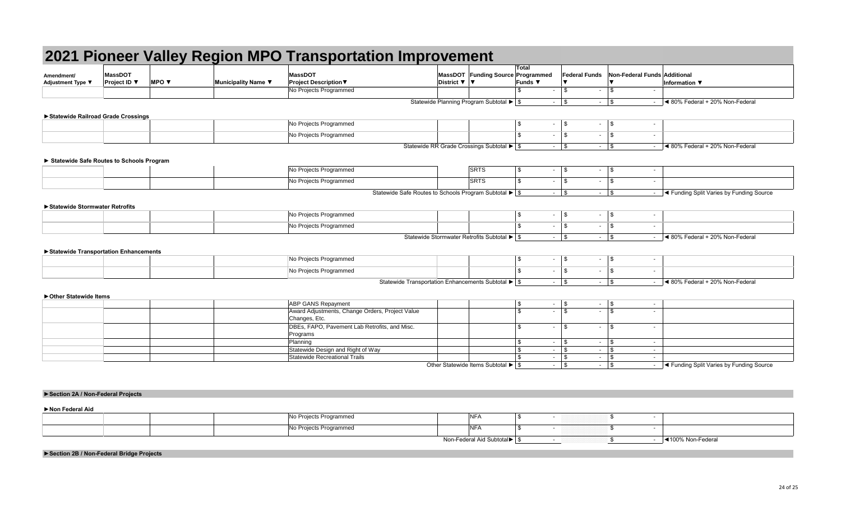| Amendment/                               | <b>MassDOT</b>      |                                 |                     | <b>MassDOT</b>                                         |              | MassDOT Funding Source Programmed            | Total                            | <b>Federal Funds</b>  | Non-Federal Funds Additional                      |                                     |
|------------------------------------------|---------------------|---------------------------------|---------------------|--------------------------------------------------------|--------------|----------------------------------------------|----------------------------------|-----------------------|---------------------------------------------------|-------------------------------------|
| Adjustment Type ▼                        | <b>Project ID</b> ▼ | <b>MPO</b> $\blacktriangledown$ | Municipality Name ▼ | <b>Project Description ▼</b>                           | District ▼ ▼ |                                              | <b>Funds</b> ▼                   |                       |                                                   | Information ▼                       |
|                                          |                     |                                 |                     | No Projects Programmed                                 |              |                                              | $\overline{\phantom{a}}$         | l \$                  | \$                                                |                                     |
|                                          |                     |                                 |                     |                                                        |              | Statewide Planning Program Subtotal ▶ \$     |                                  |                       | $ \sqrt{3}$                                       | $-$ 4 80% Federal + 20% Non-Federal |
|                                          |                     |                                 |                     |                                                        |              |                                              |                                  |                       |                                                   |                                     |
| Statewide Railroad Grade Crossings       |                     |                                 |                     |                                                        |              |                                              |                                  |                       |                                                   |                                     |
|                                          |                     |                                 |                     | No Projects Programmed                                 |              |                                              | \$                               | $ \sqrt{3}$           | $ \sqrt{3}$<br>$\blacksquare$                     |                                     |
|                                          |                     |                                 |                     | No Projects Programmed                                 |              |                                              | \$                               | $-$ \$                | l \$                                              |                                     |
|                                          |                     |                                 |                     |                                                        |              | Statewide RR Grade Crossings Subtotal ▶ \$   |                                  | $ \sqrt{3}$           | $-$ \$                                            | $-$ 4 80% Federal + 20% Non-Federal |
|                                          |                     |                                 |                     |                                                        |              |                                              |                                  |                       |                                                   |                                     |
| Statewide Safe Routes to Schools Program |                     |                                 |                     |                                                        |              |                                              |                                  |                       |                                                   |                                     |
|                                          |                     |                                 |                     | No Projects Programmed                                 |              | <b>SRTS</b>                                  | \$                               | $-$ \$                | $-1$ \$<br>$\blacksquare$                         |                                     |
|                                          |                     |                                 |                     | No Projects Programmed                                 |              | <b>SRTS</b>                                  | \$                               | $-$ \$                | $-1$ \$<br>$\sim$                                 |                                     |
|                                          |                     |                                 |                     |                                                        |              |                                              |                                  |                       |                                                   |                                     |
|                                          |                     |                                 |                     | Statewide Safe Routes to Schools Program Subtotal ▶ \$ |              |                                              |                                  | $ \vert$ \$           | $-1$ \$                                           |                                     |
| ▶ Statewide Stormwater Retrofits         |                     |                                 |                     |                                                        |              |                                              |                                  |                       |                                                   |                                     |
|                                          |                     |                                 |                     | No Projects Programmed                                 |              |                                              | \$                               | $-$ \$                | $-1$ \$<br>$\blacksquare$                         |                                     |
|                                          |                     |                                 |                     | No Projects Programmed                                 |              |                                              | \$                               | $\sim$ 10 $\pm$       | l \$<br>$\blacksquare$                            |                                     |
|                                          |                     |                                 |                     |                                                        |              |                                              |                                  |                       |                                                   |                                     |
|                                          |                     |                                 |                     |                                                        |              | Statewide Stormwater Retrofits Subtotal ▶ \$ |                                  | $ \vert$ \$           | $-1$ \$                                           | $-$ 4 80% Federal + 20% Non-Federal |
| Statewide Transportation Enhancements    |                     |                                 |                     |                                                        |              |                                              |                                  |                       |                                                   |                                     |
|                                          |                     |                                 |                     | No Projects Programmed                                 |              |                                              | \$                               | $-$ \$                | $ \sqrt{3}$<br>$\overline{\phantom{a}}$           |                                     |
|                                          |                     |                                 |                     |                                                        |              |                                              |                                  |                       |                                                   |                                     |
|                                          |                     |                                 |                     | No Projects Programmed                                 |              |                                              | $\mathfrak{L}$<br>$\blacksquare$ | $\vert$ \$<br>$\sim$  | $\sqrt{3}$<br>$\overline{\phantom{a}}$            |                                     |
|                                          |                     |                                 |                     | Statewide Transportation Enhancements Subtotal ▶ \$    |              |                                              |                                  | $-1$ \$               | $-1$ \$                                           | $-$ 4 80% Federal + 20% Non-Federal |
|                                          |                     |                                 |                     |                                                        |              |                                              |                                  |                       |                                                   |                                     |
| ▶ Other Statewide Items                  |                     |                                 |                     | <b>ABP GANS Repayment</b>                              |              |                                              | \$                               |                       |                                                   |                                     |
|                                          |                     |                                 |                     | Award Adjustments, Change Orders, Project Value        |              |                                              | $\mathfrak{L}$                   | $-1$ \$               | $ \sqrt{ }$<br>$\sim$<br>$-1$ s<br>$\blacksquare$ |                                     |
|                                          |                     |                                 |                     | Changes, Etc.                                          |              |                                              |                                  |                       |                                                   |                                     |
|                                          |                     |                                 |                     | DBEs, FAPO, Pavement Lab Retrofits, and Misc.          |              |                                              | \$                               | $-$ \$<br>$\sim$      | l \$<br>$\blacksquare$                            |                                     |
|                                          |                     |                                 |                     | Programs                                               |              |                                              |                                  |                       |                                                   |                                     |
|                                          |                     |                                 |                     | Planning                                               |              |                                              | \$                               | $-1$ \$               | $-1$ \$<br>$\sim$                                 |                                     |
|                                          |                     |                                 |                     | Statewide Design and Right of Way                      |              |                                              | \$                               | $ \sqrt{3}$<br>$\sim$ | l \$<br>$\sim$                                    |                                     |
|                                          |                     |                                 |                     | Statewide Recreational Trails                          |              |                                              |                                  | $-$ \$                | $ \sqrt{ }$                                       |                                     |

### **►Section 2A / Non-Federal Projects**

#### **►Non Federal Aid**

|  | $N_A E$<br>No Projects Programmed |       | <b>NFA</b>                                                                    |  |                   |
|--|-----------------------------------|-------|-------------------------------------------------------------------------------|--|-------------------|
|  | No Projects Programmed            |       | <b>NFA</b>                                                                    |  |                   |
|  |                                   | Non-F | <b>Carlo and Aid Cubtatal K</b><br>$\cdot$ Alg Subtotal $\blacktriangleright$ |  | ◀100% Non-Federal |

### **►Section 2B / Non-Federal Bridge Projects**